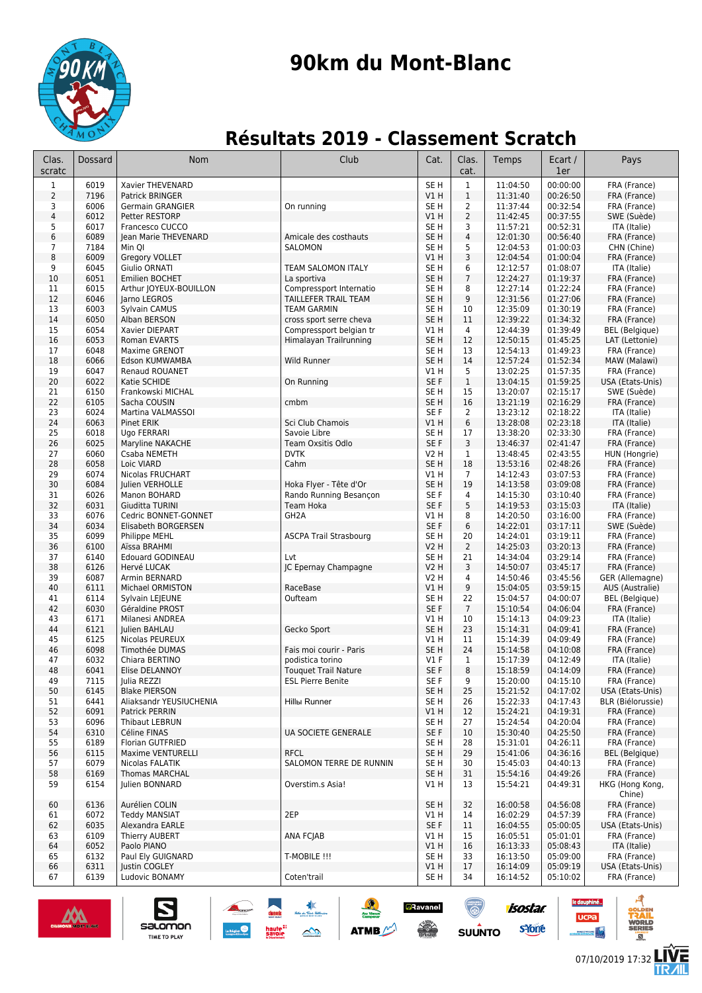

# **90km du Mont-Blanc**

## **Résultats 2019 - Classement Scratch**

| Clas.<br>scratc         | <b>Dossard</b> | Nom                                             | Club                                               | Cat.                               | Clas.<br>cat.         | Temps                | Ecart /<br>1er       | Pays                                  |
|-------------------------|----------------|-------------------------------------------------|----------------------------------------------------|------------------------------------|-----------------------|----------------------|----------------------|---------------------------------------|
| 1                       | 6019           | Xavier THEVENARD                                |                                                    | SE <sub>H</sub>                    | $\mathbf{1}$          | 11:04:50             | 00:00:00             | FRA (France)                          |
| 2                       | 7196           | Patrick BRINGER                                 |                                                    | V1 H                               | $\mathbf{1}$          | 11:31:40             | 00:26:50             | FRA (France)                          |
| 3                       | 6006           | Germain GRANGIER                                | On running                                         | SE H                               | $\overline{2}$        | 11:37:44             | 00:32:54             | FRA (France)                          |
| $\overline{\mathbf{4}}$ | 6012           | Petter RESTORP                                  |                                                    | V1 H                               | $\overline{2}$        | 11:42:45             | 00:37:55             | SWE (Suède)                           |
| 5<br>6                  | 6017<br>6089   | Francesco CUCCO<br>Jean Marie THEVENARD         | Amicale des costhauts                              | SE <sub>H</sub><br>SE <sub>H</sub> | 3<br>4                | 11:57:21<br>12:01:30 | 00:52:31<br>00:56:40 | ITA (Italie)<br>FRA (France)          |
| $\overline{7}$          | 7184           | Min QI                                          | SALOMON                                            | SE <sub>H</sub>                    | 5                     | 12:04:53             | 01:00:03             | CHN (Chine)                           |
| 8                       | 6009           | Gregory VOLLET                                  |                                                    | V1 H                               | 3                     | 12:04:54             | 01:00:04             | FRA (France)                          |
| 9                       | 6045           | Giulio ORNATI                                   | TEAM SALOMON ITALY                                 | SE H                               | 6                     | 12:12:57             | 01:08:07             | ITA (Italie)                          |
| 10                      | 6051           | Emilien BOCHET                                  | La sportiva                                        | SE <sub>H</sub>                    | $\overline{7}$        | 12:24:27             | 01:19:37             | FRA (France)                          |
| 11                      | 6015           | Arthur JOYEUX-BOUILLON                          | Compressport Internatio                            | SE <sub>H</sub>                    | 8                     | 12:27:14             | 01:22:24             | FRA (France)                          |
| 12                      | 6046           | Jarno LEGROS                                    | TAILLEFER TRAIL TEAM                               | SE <sub>H</sub>                    | 9                     | 12:31:56             | 01:27:06             | FRA (France)                          |
| 13                      | 6003           | Sylvain CAMUS                                   | <b>TEAM GARMIN</b>                                 | SE <sub>H</sub>                    | 10                    | 12:35:09             | 01:30:19             | FRA (France)                          |
| 14<br>15                | 6050<br>6054   | Alban BERSON<br>Xavier DIEPART                  | cross sport serre cheva<br>Compressport belgian tr | SE <sub>H</sub><br>V1 H            | 11<br>4               | 12:39:22<br>12:44:39 | 01:34:32<br>01:39:49 | FRA (France)<br>BEL (Belgique)        |
| 16                      | 6053           | Roman EVARTS                                    | Himalayan Trailrunning                             | SE <sub>H</sub>                    | 12                    | 12:50:15             | 01:45:25             | LAT (Lettonie)                        |
| 17                      | 6048           | Maxime GRENOT                                   |                                                    | SE H                               | 13                    | 12:54:13             | 01:49:23             | FRA (France)                          |
| 18                      | 6066           | Edson KUMWAMBA                                  | Wild Runner                                        | SE <sub>H</sub>                    | 14                    | 12:57:24             | 01:52:34             | MAW (Malawi)                          |
| 19                      | 6047           | <b>Renaud ROUANET</b>                           |                                                    | V1 H                               | 5                     | 13:02:25             | 01:57:35             | FRA (France)                          |
| 20                      | 6022           | Katie SCHIDE                                    | On Running                                         | SE F                               | $\mathbf{1}$          | 13:04:15             | 01:59:25             | USA (Etats-Unis)                      |
| 21                      | 6150           | Frankowski MICHAL                               |                                                    | SE <sub>H</sub>                    | 15                    | 13:20:07             | 02:15:17             | SWE (Suède)                           |
| 22                      | 6105           | Sacha COUSIN                                    | cmbm                                               | SE <sub>H</sub>                    | 16                    | 13:21:19             | 02:16:29             | FRA (France)                          |
| 23<br>24                | 6024           | Martina VALMASSOI<br>Pinet ERIK                 | Sci Club Chamois                                   | SE F<br>V1 H                       | $\overline{2}$<br>6   | 13:23:12             | 02:18:22             | ITA (Italie)                          |
| 25                      | 6063<br>6018   | Ugo FERRARI                                     | Savoie Libre                                       | SE <sub>H</sub>                    | 17                    | 13:28:08<br>13:38:20 | 02:23:18<br>02:33:30 | ITA (Italie)<br>FRA (France)          |
| 26                      | 6025           | Maryline NAKACHE                                | Team Oxsitis Odlo                                  | SE F                               | 3                     | 13:46:37             | 02:41:47             | FRA (France)                          |
| 27                      | 6060           | Csaba NEMETH                                    | <b>DVTK</b>                                        | V2 H                               | 1                     | 13:48:45             | 02:43:55             | HUN (Hongrie)                         |
| 28                      | 6058           | Loic VIARD                                      | Cahm                                               | SE <sub>H</sub>                    | 18                    | 13:53:16             | 02:48:26             | FRA (France)                          |
| 29                      | 6074           | Nicolas FRUCHART                                |                                                    | V1 H                               | $\overline{7}$        | 14:12:43             | 03:07:53             | FRA (France)                          |
| 30                      | 6084           | Julien VERHOLLE                                 | Hoka Flyer - Tête d'Or                             | SE <sub>H</sub>                    | 19                    | 14:13:58             | 03:09:08             | FRA (France)                          |
| 31                      | 6026           | Manon BOHARD                                    | Rando Running Besançon                             | SE <sub>F</sub>                    | 4                     | 14:15:30             | 03:10:40             | FRA (France)                          |
| 32                      | 6031<br>6076   | Giuditta TURINI                                 | Team Hoka                                          | SE F                               | 5                     | 14:19:53             | 03:15:03             | ITA (Italie)                          |
| 33<br>34                | 6034           | Cedric BONNET-GONNET<br>Elisabeth BORGERSEN     | GH <sub>2</sub> A                                  | V1 H<br>SE F                       | 8<br>6                | 14:20:50<br>14:22:01 | 03:16:00<br>03:17:11 | FRA (France)<br>SWE (Suède)           |
| 35                      | 6099           | Philippe MEHL                                   | <b>ASCPA Trail Strasbourg</b>                      | SE <sub>H</sub>                    | 20                    | 14:24:01             | 03:19:11             | FRA (France)                          |
| 36                      | 6100           | Aïssa BRAHMI                                    |                                                    | <b>V2 H</b>                        | $\overline{2}$        | 14:25:03             | 03:20:13             | FRA (France)                          |
| 37                      | 6140           | <b>Edouard GODINEAU</b>                         | Lvt                                                | SE <sub>H</sub>                    | 21                    | 14:34:04             | 03:29:14             | FRA (France)                          |
| 38                      | 6126           | Hervé LUCAK                                     | JC Epernay Champagne                               | V2 H                               | 3                     | 14:50:07             | 03:45:17             | FRA (France)                          |
| 39                      | 6087           | Armin BERNARD                                   |                                                    | V2 H                               | 4                     | 14:50:46             | 03:45:56             | GER (Allemagne)                       |
| 40                      | 6111           | Michael ORMISTON                                | RaceBase                                           | V1 H                               | 9                     | 15:04:05             | 03:59:15             | AUS (Australie)                       |
| 41<br>42                | 6114<br>6030   | Sylvain LEJEUNE<br>Géraldine PROST              | Oufteam                                            | SE H<br>SE F                       | 22<br>$7\overline{ }$ | 15:04:57<br>15:10:54 | 04:00:07<br>04:06:04 | <b>BEL</b> (Belgique)<br>FRA (France) |
| 43                      | 6171           | Milanesi ANDREA                                 |                                                    | V1 H                               | 10                    | 15:14:13             | 04:09:23             | ITA (Italie)                          |
| 44                      | 6121           | Julien BAHLAU                                   | Gecko Sport                                        | SE <sub>H</sub>                    | 23                    | 15:14:31             | 04:09:41             | FRA (France)                          |
| 45                      | 6125           | Nicolas PEUREUX                                 |                                                    | V1 H                               | 11                    | 15:14:39             | 04:09:49             | FRA (France)                          |
| 46                      | 6098           | Timothée DUMAS                                  | Fais moi courir - Paris                            | SE <sub>H</sub>                    | 24                    | 15:14:58             | 04:10:08             | FRA (France)                          |
| 47                      | 6032           | Chiara BERTINO                                  | podistica torino                                   | $VI$ F                             | 1                     | 15:17:39             | 04:12:49             | ITA (Italie)                          |
| 48                      | 6041           | Elise DELANNOY                                  | <b>Touquet Trail Nature</b>                        | SE F                               | 8                     | 15:18:59             | 04:14:09             | FRA (France)                          |
| 49                      | 7115           | Julia REZZI                                     | <b>ESL Pierre Benite</b>                           | SE F                               | 9                     | 15:20:00             | 04:15:10             | FRA (France)                          |
| 50                      | 6145<br>6441   | <b>Blake PIERSON</b><br>Aliaksandr YEUSIUCHENIA |                                                    | SE H<br>SE H                       | 25                    | 15:21:52<br>15:22:33 | 04:17:02<br>04:17:43 | USA (Etats-Unis)<br>BLR (Biélorussie) |
| 51<br>52                | 6091           | Patrick PERRIN                                  | <b>Hillы Runner</b>                                | V1 H                               | 26<br>12              | 15:24:21             | 04:19:31             | FRA (France)                          |
| 53                      | 6096           | Thibaut LEBRUN                                  |                                                    | SE H                               | 27                    | 15:24:54             | 04:20:04             | FRA (France)                          |
| 54                      | 6310           | Céline FINAS                                    | <b>UA SOCIETE GENERALE</b>                         | SE F                               | 10                    | 15:30:40             | 04:25:50             | FRA (France)                          |
| 55                      | 6189           | <b>Florian GUTFRIED</b>                         |                                                    | SE <sub>H</sub>                    | 28                    | 15:31:01             | 04:26:11             | FRA (France)                          |
| 56                      | 6115           | Maxime VENTURELLI                               | <b>RFCL</b>                                        | SE <sub>H</sub>                    | 29                    | 15:41:06             | 04:36:16             | <b>BEL</b> (Belgique)                 |
| 57                      | 6079           | Nicolas FALATIK                                 | SALOMON TERRE DE RUNNIN                            | SE H                               | 30                    | 15:45:03             | 04:40:13             | FRA (France)                          |
| 58                      | 6169           | Thomas MARCHAL                                  |                                                    | SE H                               | 31                    | 15:54:16             | 04:49:26             | FRA (France)                          |
| 59                      | 6154           | Julien BONNARD                                  | Overstim.s Asia!                                   | V1 H                               | 13                    | 15:54:21             | 04:49:31             | HKG (Hong Kong,<br>Chine)             |
| 60                      | 6136           | Aurélien COLIN                                  |                                                    | SE <sub>H</sub>                    | 32                    | 16:00:58             | 04:56:08             | FRA (France)                          |
| 61                      | 6072           | <b>Teddy MANSIAT</b>                            | 2EP                                                | V1 H                               | 14                    | 16:02:29             | 04:57:39             | FRA (France)                          |
| 62                      | 6035           | Alexandra EARLE                                 |                                                    | SE F                               | 11                    | 16:04:55             | 05:00:05             | USA (Etats-Unis)<br>FRA (France)      |
| 63<br>64                | 6109<br>6052   | Thierry AUBERT<br>Paolo PIANO                   | <b>ANA FCJAB</b>                                   | V1 H<br>V1H                        | 15<br>16              | 16:05:51<br>16:13:33 | 05:01:01<br>05:08:43 | ITA (Italie)                          |
| 65                      | 6132           | Paul Ely GUIGNARD                               | T-MOBILE !!!                                       | SE H                               | 33                    | 16:13:50             | 05:09:00             | FRA (France)                          |
| 66                      | 6311           | <b>Justin COGLEY</b>                            |                                                    | V1 H                               | 17                    | 16:14:09             | 05:09:19             | USA (Etats-Unis)                      |
| 67                      | 6139           | Ludovic BONAMY                                  | Coten'trail                                        | SE H                               | 34                    | 16:14:52             | 05:10:02             | FRA (France)                          |

نا≵<br>ستمبر

 $\rightarrow$ 

<mark>⊿</mark>Ravanel

 $\frac{1}{\sqrt{2}}$ 

**ATMB** 



salomon

**TIME TO PLAY** 

E

**isostar** 

syone

SUUNTO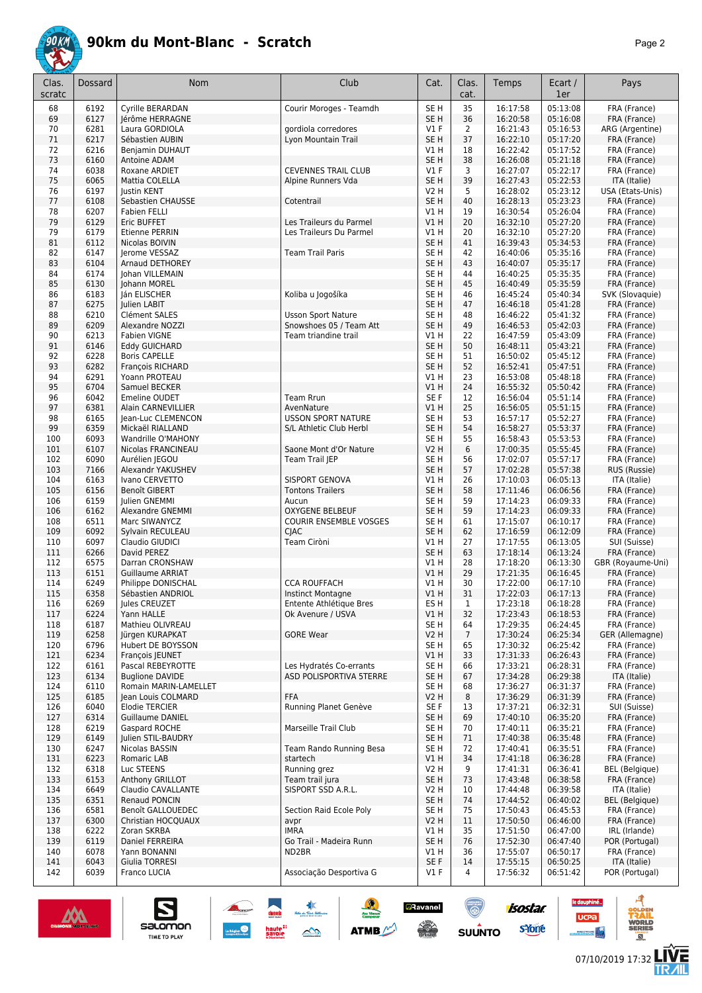

|--|--|

| Clas.<br>scratc | Dossard      | Nom                                        | Club                                      | Cat.                               | Clas.<br>cat.        | Temps                | Ecart /<br>1er       | Pays                                  |
|-----------------|--------------|--------------------------------------------|-------------------------------------------|------------------------------------|----------------------|----------------------|----------------------|---------------------------------------|
| 68              | 6192         | Cyrille BERARDAN                           | Courir Moroges - Teamdh                   | SE <sub>H</sub>                    | 35                   | 16:17:58             | 05:13:08             | FRA (France)                          |
| 69              | 6127         | Jérôme HERRAGNE                            |                                           | SE <sub>H</sub>                    | 36                   | 16:20:58             | 05:16:08             | FRA (France)                          |
| 70              | 6281         | Laura GORDIOLA                             | gordiola corredores                       | $VI$ F                             | $\overline{2}$<br>37 | 16:21:43             | 05:16:53             | ARG (Argentine)                       |
| 71<br>72        | 6217<br>6216 | Sébastien AUBIN<br>Benjamin DUHAUT         | Lyon Mountain Trail                       | SE <sub>H</sub><br>VIH             | 18                   | 16:22:10<br>16:22:42 | 05:17:20<br>05:17:52 | FRA (France)<br>FRA (France)          |
| 73              | 6160         | Antoine ADAM                               |                                           | SE <sub>H</sub>                    | 38                   | 16:26:08             | 05:21:18             | FRA (France)                          |
| 74              | 6038         | Roxane ARDIET                              | <b>CEVENNES TRAIL CLUB</b>                | $VI$ F                             | 3                    | 16:27:07             | 05:22:17             | FRA (France)                          |
| 75              | 6065         | Mattia COLELLA                             | Alpine Runners Vda                        | SE <sub>H</sub>                    | 39                   | 16:27:43             | 05:22:53             | ITA (Italie)                          |
| 76              | 6197         | <b>Justin KENT</b>                         |                                           | V <sub>2</sub> H                   | 5                    | 16:28:02             | 05:23:12             | USA (Etats-Unis)                      |
| 77              | 6108         | Sebastien CHAUSSE                          | Cotentrail                                | SE <sub>H</sub>                    | 40                   | 16:28:13             | 05:23:23             | FRA (France)                          |
| 78              | 6207         | <b>Fabien FELLI</b>                        | Les Traileurs du Parmel                   | V1H                                | 19                   | 16:30:54             | 05:26:04             | FRA (France)                          |
| 79<br>79        | 6129<br>6179 | Eric BUFFET<br>Etienne PERRIN              | Les Traileurs Du Parmel                   | VIH<br>V1H                         | 20<br>20             | 16:32:10<br>16:32:10 | 05:27:20<br>05:27:20 | FRA (France)<br>FRA (France)          |
| 81              | 6112         | Nicolas BOIVIN                             |                                           | SE <sub>H</sub>                    | 41                   | 16:39:43             | 05:34:53             | FRA (France)                          |
| 82              | 6147         | Jerome VESSAZ                              | <b>Team Trail Paris</b>                   | SE <sub>H</sub>                    | 42                   | 16:40:06             | 05:35:16             | FRA (France)                          |
| 83              | 6104         | Arnaud DETHOREY                            |                                           | SE <sub>H</sub>                    | 43                   | 16:40:07             | 05:35:17             | FRA (France)                          |
| 84              | 6174         | Johan VILLEMAIN                            |                                           | SE <sub>H</sub>                    | 44                   | 16:40:25             | 05:35:35             | FRA (France)                          |
| 85              | 6130         | Johann MOREL                               |                                           | SE <sub>H</sub>                    | 45                   | 16:40:49             | 05:35:59             | FRA (France)                          |
| 86              | 6183         | Ján ELISCHER                               | Koliba u Jogošíka                         | SE <sub>H</sub>                    | 46                   | 16:45:24             | 05:40:34             | SVK (Slovaquie)                       |
| 87<br>88        | 6275<br>6210 | Julien LABIT<br>Clément SALES              | <b>Usson Sport Nature</b>                 | SE <sub>H</sub><br>SE <sub>H</sub> | 47<br>48             | 16:46:18<br>16:46:22 | 05:41:28<br>05:41:32 | FRA (France)<br>FRA (France)          |
| 89              | 6209         | Alexandre NOZZI                            | Snowshoes 05 / Team Att                   | SE <sub>H</sub>                    | 49                   | 16:46:53             | 05:42:03             | FRA (France)                          |
| 90              | 6213         | <b>Fabien VIGNE</b>                        | Team triandine trail                      | V1H                                | 22                   | 16:47:59             | 05:43:09             | FRA (France)                          |
| 91              | 6146         | <b>Eddy GUICHARD</b>                       |                                           | SE <sub>H</sub>                    | 50                   | 16:48:11             | 05:43:21             | FRA (France)                          |
| 92              | 6228         | <b>Boris CAPELLE</b>                       |                                           | SE <sub>H</sub>                    | 51                   | 16:50:02             | 05:45:12             | FRA (France)                          |
| 93              | 6282         | <b>François RICHARD</b>                    |                                           | SE <sub>H</sub>                    | 52                   | 16:52:41             | 05:47:51             | FRA (France)                          |
| 94              | 6291         | Yoann PROTEAU                              |                                           | V1 H                               | 23                   | 16:53:08             | 05:48:18             | FRA (France)                          |
| 95              | 6704         | Samuel BECKER<br>Emeline OUDET             |                                           | <b>V1 H</b>                        | 24                   | 16:55:32             | 05:50:42             | FRA (France)                          |
| 96<br>97        | 6042<br>6381 | Alain CARNEVILLIER                         | <b>Team Rrun</b><br>AvenNature            | SE F<br>V1H                        | 12<br>25             | 16:56:04<br>16:56:05 | 05:51:14<br>05:51:15 | FRA (France)<br>FRA (France)          |
| 98              | 6165         | Jean-Luc CLEMENCON                         | <b>USSON SPORT NATURE</b>                 | SE H                               | 53                   | 16:57:17             | 05:52:27             | FRA (France)                          |
| 99              | 6359         | Mickaël RIALLAND                           | S/L Athletic Club Herbl                   | SE <sub>H</sub>                    | 54                   | 16:58:27             | 05:53:37             | FRA (France)                          |
| 100             | 6093         | Wandrille O'MAHONY                         |                                           | SE <sub>H</sub>                    | 55                   | 16:58:43             | 05:53:53             | FRA (France)                          |
| 101             | 6107         | Nicolas FRANCINEAU                         | Saone Mont d'Or Nature                    | <b>V2 H</b>                        | 6                    | 17:00:35             | 05:55:45             | FRA (France)                          |
| 102             | 6090         | Aurélien JEGOU                             | Team Trail JEP                            | SE <sub>H</sub>                    | 56                   | 17:02:07             | 05:57:17             | FRA (France)                          |
| 103             | 7166         | Alexandr YAKUSHEV                          |                                           | SE <sub>H</sub>                    | 57                   | 17:02:28             | 05:57:38             | RUS (Russie)                          |
| 104<br>105      | 6163<br>6156 | Ivano CERVETTO<br>Benoît GIBERT            | SISPORT GENOVA<br><b>Tontons Trailers</b> | V1H<br>SE <sub>H</sub>             | 26<br>58             | 17:10:03<br>17:11:46 | 06:05:13<br>06:06:56 | ITA (Italie)<br>FRA (France)          |
| 106             | 6159         | Julien GNEMMI                              | Aucun                                     | SE <sub>H</sub>                    | 59                   | 17:14:23             | 06:09:33             | FRA (France)                          |
| 106             | 6162         | Alexandre GNEMMI                           | <b>OXYGENE BELBEUF</b>                    | SE <sub>H</sub>                    | 59                   | 17:14:23             | 06:09:33             | FRA (France)                          |
| 108             | 6511         | Marc SIWANYCZ                              | <b>COURIR ENSEMBLE VOSGES</b>             | SE <sub>H</sub>                    | 61                   | 17:15:07             | 06:10:17             | FRA (France)                          |
| 109             | 6092         | Sylvain RECULEAU                           | <b>CJAC</b>                               | SE <sub>H</sub>                    | 62                   | 17:16:59             | 06:12:09             | FRA (France)                          |
| 110             | 6097         | Claudio GIUDICI                            | Team Ciròni                               | V1 H                               | 27                   | 17:17:55             | 06:13:05             | SUI (Suisse)                          |
| 111             | 6266         | David PEREZ                                |                                           | SE <sub>H</sub>                    | 63                   | 17:18:14             | 06:13:24             | FRA (France)                          |
| 112<br>113      | 6575<br>6151 | Darran CRONSHAW<br><b>Guillaume ARRIAT</b> |                                           | V1H<br>VIH                         | 28<br>29             | 17:18:20<br>17:21:35 | 06:13:30<br>06:16:45 | GBR (Royaume-Uni)<br>FRA (France)     |
| 114             | 6249         | Philippe DONISCHAL                         | <b>CCA ROUFFACH</b>                       | V1H                                | 30                   | 17:22:00             | 06:17:10             | FRA (France)                          |
| 115             | 6358         | Sébastien ANDRIOL                          | <b>Instinct Montagne</b>                  | V1H                                | 31                   | 17:22:03             | 06:17:13             | FRA (France)                          |
| 116             | 6269         | Jules CREUZET                              | Entente Athlétique Bres                   | ES H                               | 1                    | 17:23:18             | 06:18:28             | FRA (France)                          |
| 117             | 6224         | Yann HALLE                                 | Ok Avenure / USVA                         | V1H                                | 32                   | 17:23:43             | 06:18:53             | FRA (France)                          |
| 118             | 6187         | Mathieu OLIVREAU                           |                                           | SE H                               | 64                   | 17:29:35             | 06:24:45             | FRA (France)                          |
| 119             | 6258         | Jürgen KURAPKAT<br>Hubert DE BOYSSON       | <b>GORE Wear</b>                          | <b>V2 H</b>                        | $\overline{7}$<br>65 | 17:30:24             | 06:25:34             | GER (Allemagne)                       |
| 120<br>121      | 6796<br>6234 | François JEUNET                            |                                           | SE H<br>VIH                        | 33                   | 17:30:32<br>17:31:33 | 06:25:42<br>06:26:43 | FRA (France)<br>FRA (France)          |
| 122             | 6161         | Pascal REBEYROTTE                          | Les Hydratés Co-errants                   | SE H                               | 66                   | 17:33:21             | 06:28:31             | FRA (France)                          |
| 123             | 6134         | <b>Buglione DAVIDE</b>                     | ASD POLISPORTIVA 5TERRE                   | SE H                               | 67                   | 17:34:28             | 06:29:38             | ITA (Italie)                          |
| 124             | 6110         | Romain MARIN-LAMELLET                      |                                           | SE H                               | 68                   | 17:36:27             | 06:31:37             | FRA (France)                          |
| 125             | 6185         | Jean Louis COLMARD                         | <b>FFA</b>                                | <b>V2 H</b>                        | 8                    | 17:36:29             | 06:31:39             | FRA (France)                          |
| 126             | 6040         | <b>Elodie TERCIER</b>                      | Running Planet Genève                     | SE F                               | 13                   | 17:37:21             | 06:32:31             | SUI (Suisse)                          |
| 127<br>128      | 6314<br>6219 | <b>Guillaume DANIEL</b><br>Gaspard ROCHE   | Marseille Trail Club                      | SE H<br>SE H                       | 69<br>70             | 17:40:10<br>17:40:11 | 06:35:20<br>06:35:21 | FRA (France)<br>FRA (France)          |
| 129             | 6149         | Julien STIL-BAUDRY                         |                                           | SE H                               | 71                   | 17:40:38             | 06:35:48             | FRA (France)                          |
| 130             | 6247         | Nicolas BASSIN                             | Team Rando Running Besa                   | SE H                               | 72                   | 17:40:41             | 06:35:51             | FRA (France)                          |
| 131             | 6223         | Romaric LAB                                | startech                                  | V1H                                | 34                   | 17:41:18             | 06:36:28             | FRA (France)                          |
| 132             | 6318         | Luc STEENS                                 | Running grez                              | <b>V2 H</b>                        | 9                    | 17:41:31             | 06:36:41             | <b>BEL</b> (Belgique)                 |
| 133             | 6153         | Anthony GRILLOT                            | Team trail jura                           | SE <sub>H</sub>                    | 73                   | 17:43:48             | 06:38:58             | FRA (France)                          |
| 134             | 6649         | Claudio CAVALLANTE                         | SISPORT SSD A.R.L.                        | V2 H                               | 10                   | 17:44:48             | 06:39:58             | ITA (Italie)                          |
| 135<br>136      | 6351<br>6581 | Renaud PONCIN<br>Benoît GALLOUEDEC         | Section Raid Ecole Poly                   | SE <sub>H</sub><br>SE H            | 74<br>75             | 17:44:52<br>17:50:43 | 06:40:02<br>06:45:53 | <b>BEL</b> (Belgique)<br>FRA (France) |
| 137             | 6300         | Christian HOCQUAUX                         | avpr                                      | <b>V2 H</b>                        | 11                   | 17:50:50             | 06:46:00             | FRA (France)                          |
| 138             | 6222         | Zoran SKRBA                                | <b>IMRA</b>                               | V1H                                | 35                   | 17:51:50             | 06:47:00             | IRL (Irlande)                         |
| 139             | 6119         | Daniel FERREIRA                            | Go Trail - Madeira Runn                   | SE <sub>H</sub>                    | 76                   | 17:52:30             | 06:47:40             | POR (Portugal)                        |
| 140             | 6078         | Yann BONANNI                               | ND2BR                                     | V1 H                               | 36                   | 17:55:07             | 06:50:17             | FRA (France)                          |
| 141             | 6043         | Giulia TORRESI                             |                                           | SE F                               | 14                   | 17:55:15             | 06:50:25             | ITA (Italie)                          |
| 142             | 6039         | Franco LUCIA                               | Associação Desportiva G                   | V1 F                               | 4                    | 17:56:32             | 06:51:42             | POR (Portugal)                        |



 $\sum_{\text{SALOMOM}}$ 

**UCPa** 

**isostar** 

svone

**a**Ravanel

 $\frac{1}{\sqrt{2}}$ 

**SUUNTO** 

 $\frac{1}{2}$ 

**ATMB** 



ø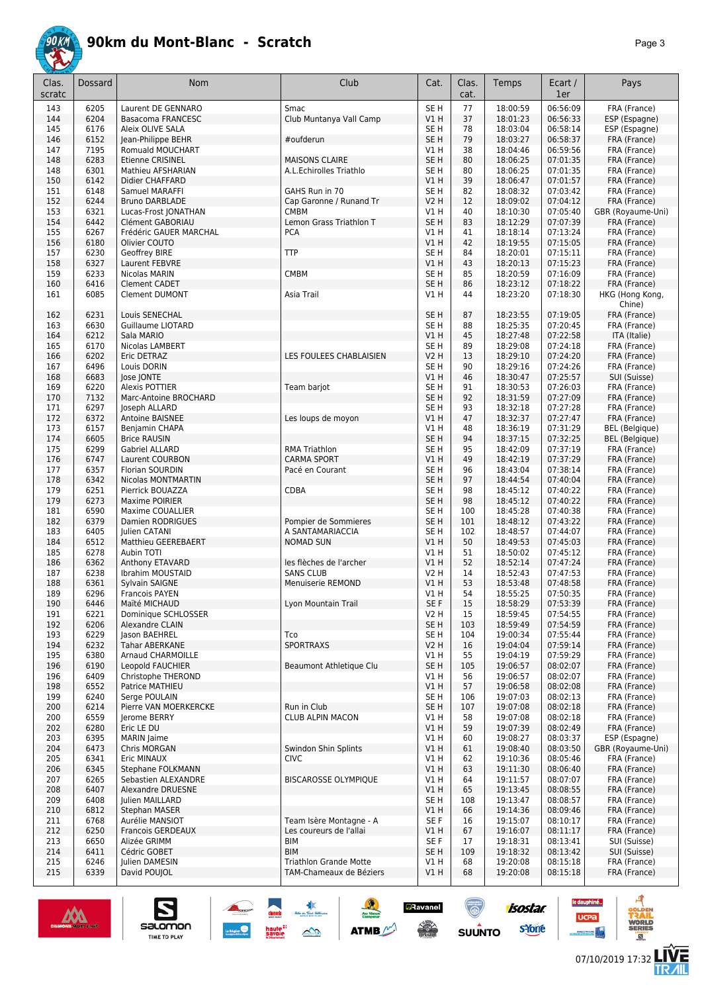

|--|--|

| Clas.<br>scratc | Dossard      | <b>Nom</b>                                   | Club                                       | Cat.                    | Clas.<br>cat. | Temps                | Ecart /<br>1er       | Pays                         |
|-----------------|--------------|----------------------------------------------|--------------------------------------------|-------------------------|---------------|----------------------|----------------------|------------------------------|
| 143             | 6205         | Laurent DE GENNARO                           | Smac                                       | SE <sub>H</sub>         | 77            | 18:00:59             | 06:56:09             | FRA (France)                 |
| 144             | 6204         | Basacoma FRANCESC                            | Club Muntanya Vall Camp                    | V1H                     | 37            | 18:01:23             | 06:56:33             | ESP (Espagne)                |
| 145             | 6176         | Aleix OLIVE SALA                             |                                            | SE H                    | 78            | 18:03:04             | 06:58:14             | ESP (Espagne)                |
| 146             | 6152         | Jean-Philippe BEHR                           | #oufderun                                  | SE H                    | 79            | 18:03:27             | 06:58:37             | FRA (France)                 |
| 147             | 7195         | Romuald MOUCHART                             |                                            | V1 H                    | 38            | 18:04:46             | 06:59:56             | FRA (France)                 |
| 148             | 6283         | Etienne CRISINEL                             | <b>MAISONS CLAIRE</b>                      | SE <sub>H</sub>         | 80            | 18:06:25             | 07:01:35             | FRA (France)                 |
| 148<br>150      | 6301<br>6142 | Mathieu AFSHARIAN                            | A.L.Echirolles Triathlo                    | SE <sub>H</sub><br>VIH  | 80<br>39      | 18:06:25<br>18:06:47 | 07:01:35<br>07:01:57 | FRA (France)                 |
| 151             | 6148         | Didier CHAFFARD<br>Samuel MARAFFI            | GAHS Run in 70                             | SE H                    | 82            | 18:08:32             | 07:03:42             | FRA (France)<br>FRA (France) |
| 152             | 6244         | <b>Bruno DARBLADE</b>                        | Cap Garonne / Runand Tr                    | <b>V2 H</b>             | 12            | 18:09:02             | 07:04:12             | FRA (France)                 |
| 153             | 6321         | Lucas-Frost JONATHAN                         | <b>CMBM</b>                                | V1 H                    | 40            | 18:10:30             | 07:05:40             | GBR (Royaume-Uni)            |
| 154             | 6442         | Clément GABORIAU                             | Lemon Grass Triathlon T                    | SE <sub>H</sub>         | 83            | 18:12:29             | 07:07:39             | FRA (France)                 |
| 155             | 6267         | Frédéric GAUER MARCHAL                       | <b>PCA</b>                                 | V1H                     | 41            | 18:18:14             | 07:13:24             | FRA (France)                 |
| 156             | 6180         | Olivier COUTO                                |                                            | V1H                     | 42            | 18:19:55             | 07:15:05             | FRA (France)                 |
| 157             | 6230         | Geoffrey BIRE                                | <b>TTP</b>                                 | SE H                    | 84            | 18:20:01             | 07:15:11             | FRA (France)                 |
| 158             | 6327         | Laurent FEBVRE                               |                                            | V1 H                    | 43            | 18:20:13             | 07:15:23             | FRA (France)                 |
| 159             | 6233         | Nicolas MARIN                                | CMBM                                       | SE <sub>H</sub>         | 85            | 18:20:59             | 07:16:09             | FRA (France)                 |
| 160             | 6416         | <b>Clement CADET</b>                         |                                            | SE <sub>H</sub>         | 86            | 18:23:12             | 07:18:22             | FRA (France)                 |
| 161             | 6085         | <b>Clement DUMONT</b>                        | Asia Trail                                 | V1 H                    | 44            | 18:23:20             | 07:18:30             | HKG (Hong Kong,<br>Chine)    |
| 162             | 6231         | Louis SENECHAL                               |                                            | SE <sub>H</sub>         | 87            | 18:23:55             | 07:19:05             | FRA (France)                 |
| 163<br>164      | 6630<br>6212 | Guillaume LIOTARD<br>Sala MARIO              |                                            | SE <sub>H</sub><br>VIH  | 88<br>45      | 18:25:35<br>18:27:48 | 07:20:45<br>07:22:58 | FRA (France)<br>ITA (Italie) |
| 165             | 6170         | Nicolas LAMBERT                              |                                            | SE <sub>H</sub>         | 89            | 18:29:08             | 07:24:18             | FRA (France)                 |
| 166             | 6202         | Eric DETRAZ                                  | LES FOULEES CHABLAISIEN                    | <b>V2 H</b>             | 13            | 18:29:10             | 07:24:20             | FRA (France)                 |
| 167             | 6496         | Louis DORIN                                  |                                            | SE H                    | 90            | 18:29:16             | 07:24:26             | FRA (France)                 |
| 168             | 6683         | Jose JONTE                                   |                                            | V1 H                    | 46            | 18:30:47             | 07:25:57             | SUI (Suisse)                 |
| 169             | 6220         | Alexis POTTIER                               | Team barjot                                | SE H                    | 91            | 18:30:53             | 07:26:03             | FRA (France)                 |
| 170             | 7132         | Marc-Antoine BROCHARD                        |                                            | SE <sub>H</sub>         | 92            | 18:31:59             | 07:27:09             | FRA (France)                 |
| 171             | 6297         | Joseph ALLARD                                |                                            | SE H                    | 93            | 18:32:18             | 07:27:28             | FRA (France)                 |
| 172             | 6372         | Antoine BAISNEE                              | Les loups de moyon                         | V1H                     | 47            | 18:32:37             | 07:27:47             | FRA (France)                 |
| 173             | 6157         | Benjamin CHAPA                               |                                            | V1H                     | 48            | 18:36:19             | 07:31:29             | <b>BEL</b> (Belgique)        |
| 174             | 6605         | <b>Brice RAUSIN</b>                          |                                            | SE <sub>H</sub>         | 94            | 18:37:15             | 07:32:25<br>07:37:19 | <b>BEL</b> (Belgique)        |
| 175<br>176      | 6299<br>6747 | Gabriel ALLARD<br>Laurent COURBON            | <b>RMA Triathlon</b><br><b>CARMA SPORT</b> | SE H<br>$VI$ H          | 95<br>49      | 18:42:09<br>18:42:19 | 07:37:29             | FRA (France)<br>FRA (France) |
| 177             | 6357         | Florian SOURDIN                              | Pacé en Courant                            | SE <sub>H</sub>         | 96            | 18:43:04             | 07:38:14             | FRA (France)                 |
| 178             | 6342         | Nicolas MONTMARTIN                           |                                            | SE <sub>H</sub>         | 97            | 18:44:54             | 07:40:04             | FRA (France)                 |
| 179             | 6251         | Pierrick BOUAZZA                             | CDBA                                       | SE H                    | 98            | 18:45:12             | 07:40:22             | FRA (France)                 |
| 179             | 6273         | Maxime POIRIER                               |                                            | SE <sub>H</sub>         | 98            | 18:45:12             | 07:40:22             | FRA (France)                 |
| 181             | 6590         | Maxime COUALLIER                             |                                            | SE H                    | 100           | 18:45:28             | 07:40:38             | FRA (France)                 |
| 182             | 6379         | Damien RODRIGUES                             | Pompier de Sommieres                       | SE H                    | 101           | 18:48:12             | 07:43:22             | FRA (France)                 |
| 183             | 6405         | Julien CATANI                                | A SANTAMARIACCIA                           | SE H                    | 102           | 18:48:57             | 07:44:07             | FRA (France)                 |
| 184             | 6512         | Matthieu GEEREBAERT                          | <b>NOMAD SUN</b>                           | VIH                     | 50            | 18:49:53             | 07:45:03             | FRA (France)                 |
| 185             | 6278         | Aubin TOTI                                   |                                            | V1 H                    | 51            | 18:50:02             | 07:45:12             | FRA (France)                 |
| 186             | 6362         | Anthony ETAVARD                              | les flèches de l'archer                    | V1H                     | 52            | 18:52:14             | 07:47:24             | FRA (France)                 |
| 187<br>188      | 6238<br>6361 | Ibrahim MOUSTAID<br>Sylvain SAIGNE           | <b>SANS CLUB</b><br>Menuiserie REMOND      | V2 H<br>$VI$ H          | 14<br>53      | 18:52:43<br>18:53:48 | 07:47:53<br>07:48:58 | FRA (France)<br>FRA (France) |
| 189             | 6296         | Francois PAYEN                               |                                            | V1 H                    | 54            | 18:55:25             | 07:50:35             | FRA (France)                 |
| 190             | 6446         | Maïté MICHAUD                                | Lyon Mountain Trail                        | SE F                    | 15            | 18:58:29             | 07:53:39             | FRA (France)                 |
| 191             | 6221         | Dominique SCHLOSSER                          |                                            | V2 H                    | 15            | 18:59:45             | 07:54:55             | FRA (France)                 |
| 192             | 6206         | Alexandre CLAIN                              |                                            | SE <sub>H</sub>         | 103           | 18:59:49             | 07:54:59             | FRA (France)                 |
| 193             | 6229         | Jason BAEHREL                                | Tco                                        | SE H                    | 104           | 19:00:34             | 07:55:44             | FRA (France)                 |
| 194             | 6232         | Tahar ABERKANE                               | <b>SPORTRAXS</b>                           | <b>V2 H</b>             | 16            | 19:04:04             | 07:59:14             | FRA (France)                 |
| 195             | 6380         | Arnaud CHARMOILLE                            |                                            | V1 H                    | 55            | 19:04:19             | 07:59:29             | FRA (France)                 |
| 196             | 6190         | Leopold FAUCHIER                             | Beaumont Athletique Clu                    | SE <sub>H</sub>         | 105           | 19:06:57             | 08:02:07             | FRA (France)                 |
| 196             | 6409         | Christophe THEROND                           |                                            | V1 H                    | 56            | 19:06:57             | 08:02:07             | FRA (France)                 |
| 198             | 6552         | Patrice MATHIEU                              |                                            | V1H                     | 57            | 19:06:58             | 08:02:08             | FRA (France)                 |
| 199             | 6240         | Serge POULAIN                                |                                            | SE H                    | 106           | 19:07:03             | 08:02:13             | FRA (France)                 |
| 200<br>200      | 6214<br>6559 | Pierre VAN MOERKERCKE<br><b>Ierome BERRY</b> | Run in Club<br><b>CLUB ALPIN MACON</b>     | SE <sub>H</sub><br>V1 H | 107<br>58     | 19:07:08<br>19:07:08 | 08:02:18<br>08:02:18 | FRA (France)<br>FRA (France) |
| 202             | 6280         | Eric LE DU                                   |                                            | V1H                     | 59            | 19:07:39             | 08:02:49             | FRA (France)                 |
| 203             | 6395         | <b>MARIN</b> Jaime                           |                                            | V1 H                    | 60            | 19:08:27             | 08:03:37             | ESP (Espagne)                |
| 204             | 6473         | Chris MORGAN                                 | Swindon Shin Splints                       | VIH                     | 61            | 19:08:40             | 08:03:50             | GBR (Royaume-Uni)            |
| 205             | 6341         | Eric MINAUX                                  | <b>CIVC</b>                                | V1 H                    | 62            | 19:10:36             | 08:05:46             | FRA (France)                 |
| 206             | 6345         | Stephane FOLKMANN                            |                                            | V1 H                    | 63            | 19:11:30             | 08:06:40             | FRA (France)                 |
| 207             | 6265         | Sebastien ALEXANDRE                          | <b>BISCAROSSE OLYMPIQUE</b>                | V1 H                    | 64            | 19:11:57             | 08:07:07             | FRA (France)                 |
| 208             | 6407         | Alexandre DRUESNE                            |                                            | V1H                     | 65            | 19:13:45             | 08:08:55             | FRA (France)                 |
| 209             | 6408         | Julien MAILLARD                              |                                            | SE H                    | 108           | 19:13:47             | 08:08:57             | FRA (France)                 |
| 210             | 6812         | <b>Stephan MASER</b>                         |                                            | V1H                     | 66            | 19:14:36             | 08:09:46             | FRA (France)                 |
| 211             | 6768         | Aurélie MANSIOT                              | Team Isère Montagne - A                    | SE F                    | 16            | 19:15:07             | 08:10:17             | FRA (France)                 |
| 212<br>213      | 6250<br>6650 | <b>Francois GERDEAUX</b><br>Alizée GRIMM     | Les coureurs de l'allai<br>BIM             | V1 H<br>SE F            | 67<br>17      | 19:16:07<br>19:18:31 | 08:11:17<br>08:13:41 | FRA (France)<br>SUI (Suisse) |
| 214             | 6411         | Cédric GOBET                                 | <b>BIM</b>                                 | SE <sub>H</sub>         | 109           | 19:18:32             | 08:13:42             | SUI (Suisse)                 |
| 215             | 6246         | Julien DAMESIN                               | <b>Triathlon Grande Motte</b>              | V1 H                    | 68            | 19:20:08             | 08:15:18             | FRA (France)                 |
| 215             | 6339         | David POUJOL                                 | TAM-Chameaux de Béziers                    | V1H                     | 68            | 19:20:08             | 08:15:18             | FRA (France)                 |
|                 |              |                                              |                                            |                         |               |                      |                      |                              |



 $\sum_{\text{SALOMOM}}$ 

**isostar** 

**UCPa** 

**a**Ravanel

 $\frac{1}{2}$ 

**ATMB** 



ø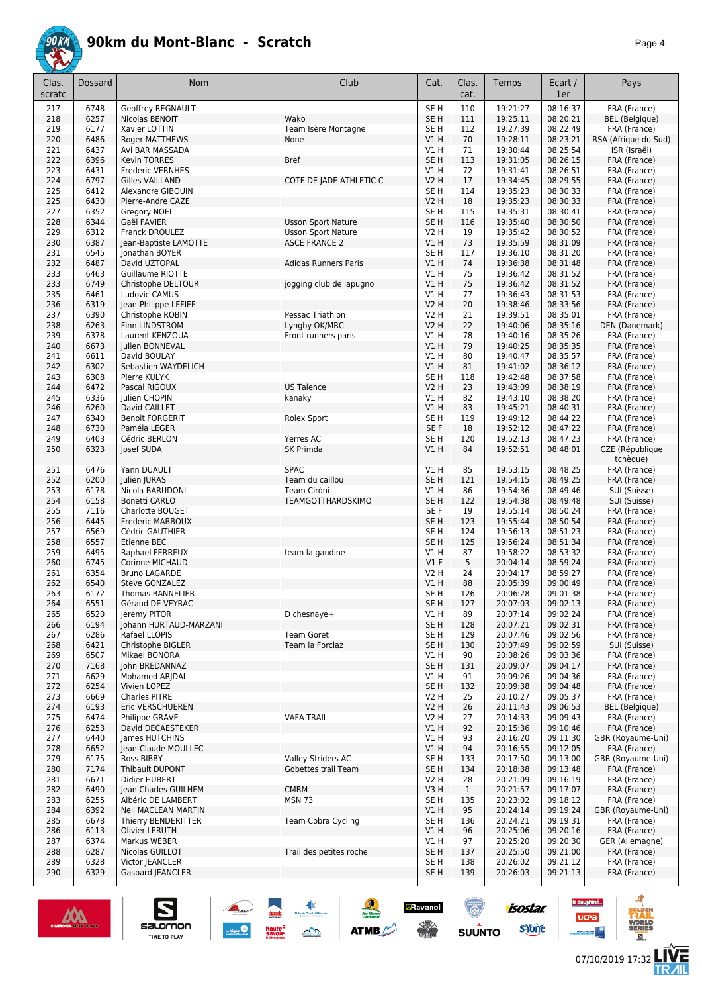

|--|--|

| Clas.<br>scratc | Dossard      | <b>Nom</b>                                | Club                                              | Cat.                               | Clas.<br>cat. | Temps                | Ecart /<br>1er       | Pays                                  |
|-----------------|--------------|-------------------------------------------|---------------------------------------------------|------------------------------------|---------------|----------------------|----------------------|---------------------------------------|
| 217             | 6748         | <b>Geoffrey REGNAULT</b>                  |                                                   | SE <sub>H</sub>                    | 110           | 19:21:27             | 08:16:37             | FRA (France)                          |
| 218             | 6257         | Nicolas BENOIT                            | Wako                                              | SE <sub>H</sub>                    | 111           | 19:25:11             | 08:20:21             | <b>BEL</b> (Belgique)                 |
| 219             | 6177         | Xavier LOTTIN                             | Team Isère Montagne                               | SE <sub>H</sub>                    | 112           | 19:27:39             | 08:22:49             | FRA (France)                          |
| 220             | 6486         | <b>Roger MATTHEWS</b>                     | None                                              | V1H                                | 70            | 19:28:11             | 08:23:21<br>08:25:54 | RSA (Afrique du Sud)                  |
| 221<br>222      | 6437<br>6396 | Avi BAR MASSADA<br><b>Kevin TORRES</b>    | <b>Bref</b>                                       | V1 H<br>SE <sub>H</sub>            | 71<br>113     | 19:30:44<br>19:31:05 | 08:26:15             | ISR (Israël)<br>FRA (France)          |
| 223             | 6431         | Frederic VERNHES                          |                                                   | V1 H                               | 72            | 19:31:41             | 08:26:51             | FRA (France)                          |
| 224             | 6797         | <b>Gilles VAILLAND</b>                    | COTE DE JADE ATHLETIC C                           | <b>V2 H</b>                        | 17            | 19:34:45             | 08:29:55             | FRA (France)                          |
| 225             | 6412         | Alexandre GIBOUIN                         |                                                   | SE <sub>H</sub>                    | 114           | 19:35:23             | 08:30:33             | FRA (France)                          |
| 225             | 6430         | Pierre-Andre CAZE                         |                                                   | <b>V2 H</b>                        | 18            | 19:35:23             | 08:30:33             | FRA (France)                          |
| 227             | 6352         | Gregory NOEL                              |                                                   | SE H                               | 115           | 19:35:31             | 08:30:41             | FRA (France)                          |
| 228             | 6344         | Gaël FAVIER                               | <b>Usson Sport Nature</b>                         | SE <sub>H</sub>                    | 116           | 19:35:40             | 08:30:50             | FRA (France)                          |
| 229<br>230      | 6312<br>6387 | Franck DROULEZ<br>Jean-Baptiste LAMOTTE   | <b>Usson Sport Nature</b><br><b>ASCE FRANCE 2</b> | V2 H<br>$VI$ H                     | 19<br>73      | 19:35:42<br>19:35:59 | 08:30:52<br>08:31:09 | FRA (France)<br>FRA (France)          |
| 231             | 6545         | Jonathan BOYER                            |                                                   | SE <sub>H</sub>                    | 117           | 19:36:10             | 08:31:20             | FRA (France)                          |
| 232             | 6487         | David UZTOPAL                             | <b>Adidas Runners Paris</b>                       | V1H                                | 74            | 19:36:38             | 08:31:48             | FRA (France)                          |
| 233             | 6463         | Guillaume RIOTTE                          |                                                   | V1 H                               | 75            | 19:36:42             | 08:31:52             | FRA (France)                          |
| 233             | 6749         | Christophe DELTOUR                        | jogging club de lapugno                           | V1H                                | 75            | 19:36:42             | 08:31:52             | FRA (France)                          |
| 235             | 6461         | Ludovic CAMUS                             |                                                   | V1 H                               | 77            | 19:36:43             | 08:31:53             | FRA (France)                          |
| 236             | 6319         | Jean-Philippe LEFIEF                      |                                                   | <b>V2 H</b>                        | 20            | 19:38:46             | 08:33:56             | FRA (France)                          |
| 237             | 6390         | Christophe ROBIN                          | Pessac Triathlon                                  | V2 H<br><b>V2 H</b>                | 21            | 19:39:51             | 08:35:01             | FRA (France)<br>DEN (Danemark)        |
| 238<br>239      | 6263<br>6378 | Finn LINDSTROM<br>Laurent KENZOUA         | Lyngby OK/MRC<br>Front runners paris              | V1 H                               | 22<br>78      | 19:40:06<br>19:40:16 | 08:35:16<br>08:35:26 | FRA (France)                          |
| 240             | 6673         | Julien BONNEVAL                           |                                                   | $VI$ H                             | 79            | 19:40:25             | 08:35:35             | FRA (France)                          |
| 241             | 6611         | David BOULAY                              |                                                   | V1 H                               | 80            | 19:40:47             | 08:35:57             | FRA (France)                          |
| 242             | 6302         | Sebastien WAYDELICH                       |                                                   | $VI$ H                             | 81            | 19:41:02             | 08:36:12             | FRA (France)                          |
| 243             | 6308         | Pierre KULYK                              |                                                   | SE <sub>H</sub>                    | 118           | 19:42:48             | 08:37:58             | FRA (France)                          |
| 244             | 6472         | Pascal RIGOUX                             | <b>US Talence</b>                                 | <b>V2 H</b>                        | 23            | 19:43:09             | 08:38:19             | FRA (France)                          |
| 245             | 6336         | Julien CHOPIN                             | kanaky                                            | V1 H                               | 82            | 19:43:10             | 08:38:20             | FRA (France)                          |
| 246             | 6260         | David CAILLET                             |                                                   | V1H                                | 83            | 19:45:21             | 08:40:31             | FRA (France)                          |
| 247<br>248      | 6340<br>6730 | <b>Benoit FORGERIT</b><br>Paméla LEGER    | Rolex Sport                                       | SE <sub>H</sub><br>SE F            | 119<br>18     | 19:49:12<br>19:52:12 | 08:44:22<br>08:47:22 | FRA (France)<br>FRA (France)          |
| 249             | 6403         | Cédric BERLON                             | Yerres AC                                         | SE <sub>H</sub>                    | 120           | 19:52:13             | 08:47:23             | FRA (France)                          |
| 250             | 6323         | Josef SUDA                                | SK Primda                                         | V1H                                | 84            | 19:52:51             | 08:48:01             | CZE (République<br>tchèque)           |
| 251             | 6476         | Yann DUAULT                               | <b>SPAC</b>                                       | V1 H                               | 85            | 19:53:15             | 08:48:25             | FRA (France)                          |
| 252             | 6200         | Julien JURAS                              | Team du caillou                                   | SE <sub>H</sub>                    | 121           | 19:54:15             | 08:49:25             | FRA (France)                          |
| 253             | 6178         | Nicola BARUDONI                           | Team Ciròni                                       | V1 H                               | 86            | 19:54:36             | 08:49:46             | SUI (Suisse)                          |
| 254             | 6158         | <b>Bonetti CARLO</b>                      | TEAMGOTTHARDSKIMO                                 | SE <sub>H</sub>                    | 122           | 19:54:38             | 08:49:48             | SUI (Suisse)                          |
| 255             | 7116         | Charlotte BOUGET                          |                                                   | SE <sub>F</sub>                    | 19            | 19:55:14             | 08:50:24             | FRA (France)                          |
| 256             | 6445         | Frederic MABBOUX                          |                                                   | SE <sub>H</sub>                    | 123           | 19:55:44             | 08:50:54             | FRA (France)                          |
| 257<br>258      | 6569<br>6557 | Cédric GAUTHIER<br>Etienne BEC            |                                                   | SE <sub>H</sub><br>SE <sub>H</sub> | 124<br>125    | 19:56:13<br>19:56:24 | 08:51:23<br>08:51:34 | FRA (France)<br>FRA (France)          |
| 259             | 6495         | Raphael FERREUX                           | team la gaudine                                   | V1 H                               | 87            | 19:58:22             | 08:53:32             | FRA (France)                          |
| 260             | 6745         | <b>Corinne MICHAUD</b>                    |                                                   | $VI$ F                             | 5             | 20:04:14             | 08:59:24             | FRA (France)                          |
| 261             | 6354         | <b>Bruno LAGARDE</b>                      |                                                   | V2 H                               | 24            | 20:04:17             | 08:59:27             | FRA (France)                          |
| 262             | 6540         | Steve GONZALEZ                            |                                                   | V1 H                               | 88            | 20:05:39             | 09:00:49             | FRA (France)                          |
| 263             | 6172         | <b>Thomas BANNELIER</b>                   |                                                   | SE <sub>H</sub>                    | 126           | 20:06:28             | 09:01:38             | FRA (France)                          |
| 264             | 6551         | Géraud DE VEYRAC                          |                                                   | SE H                               | 127           | 20:07:03             | 09:02:13             | FRA (France)                          |
| 265             | 6520         | Jeremy PITOR                              | D chesnaye+                                       | V1 H                               | 89            | 20:07:14             | 09:02:24             | FRA (France)                          |
| 266<br>267      | 6194<br>6286 | Johann HURTAUD-MARZANI<br>Rafael LLOPIS   | <b>Team Goret</b>                                 | SE <sub>H</sub><br>SE <sub>H</sub> | 128<br>129    | 20:07:21<br>20:07:46 | 09:02:31<br>09:02:56 | FRA (France)<br>FRA (France)          |
| 268             | 6421         | Christophe BIGLER                         | Team la Forclaz                                   | SE <sub>H</sub>                    | 130           | 20:07:49             | 09:02:59             | SUI (Suisse)                          |
| 269             | 6507         | Mikael BONORA                             |                                                   | V1 H                               | 90            | 20:08:26             | 09:03:36             | FRA (France)                          |
| 270             | 7168         | John BREDANNAZ                            |                                                   | SE <sub>H</sub>                    | 131           | 20:09:07             | 09:04:17             | FRA (France)                          |
| 271             | 6629         | Mohamed ARJDAL                            |                                                   | V1 H                               | 91            | 20:09:26             | 09:04:36             | FRA (France)                          |
| 272             | 6254         | Vivien LOPEZ                              |                                                   | SE <sub>H</sub>                    | 132           | 20:09:38             | 09:04:48             | FRA (France)                          |
| 273             | 6669         | <b>Charles PITRE</b>                      |                                                   | V2 H                               | 25            | 20:10:27             | 09:05:37             | FRA (France)                          |
| 274<br>275      | 6193<br>6474 | Eric VERSCHUEREN<br><b>Philippe GRAVE</b> | <b>VAFA TRAIL</b>                                 | V2 H<br>V2 H                       | 26<br>27      | 20:11:43<br>20:14:33 | 09:06:53<br>09:09:43 | <b>BEL</b> (Belgique)<br>FRA (France) |
| 276             | 6253         | David DECAESTEKER                         |                                                   | V1 H                               | 92            | 20:15:36             | 09:10:46             | FRA (France)                          |
| 277             | 6440         | James HUTCHINS                            |                                                   | V1 H                               | 93            | 20:16:20             | 09:11:30             | GBR (Royaume-Uni)                     |
| 278             | 6652         | Jean-Claude MOULLEC                       |                                                   | V1 H                               | 94            | 20:16:55             | 09:12:05             | FRA (France)                          |
| 279             | 6175         | Ross BIBBY                                | Valley Striders AC                                | SE <sub>H</sub>                    | 133           | 20:17:50             | 09:13:00             | GBR (Royaume-Uni)                     |
| 280             | 7174         | Thibault DUPONT                           | Gobettes trail Team                               | SE <sub>H</sub>                    | 134           | 20:18:38             | 09:13:48             | FRA (France)                          |
| 281             | 6671         | Didier HUBERT                             |                                                   | V2 H                               | 28            | 20:21:09             | 09:16:19             | FRA (France)                          |
| 282             | 6490         | Jean Charles GUILHEM                      | <b>CMBM</b><br><b>MSN 73</b>                      | V3H<br>SE <sub>H</sub>             | $\mathbf{1}$  | 20:21:57<br>20:23:02 | 09:17:07<br>09:18:12 | FRA (France)<br>FRA (France)          |
| 283<br>284      | 6255<br>6392 | Albéric DE LAMBERT<br>Neil MACLEAN MARTIN |                                                   | V1 H                               | 135<br>95     | 20:24:14             | 09:19:24             | GBR (Royaume-Uni)                     |
| 285             | 6678         | Thierry BENDERITTER                       | Team Cobra Cycling                                | SE <sub>H</sub>                    | 136           | 20:24:21             | 09:19:31             | FRA (France)                          |
| 286             | 6113         | Olivier LERUTH                            |                                                   | V1 H                               | 96            | 20:25:06             | 09:20:16             | FRA (France)                          |
| 287             | 6374         | Markus WEBER                              |                                                   | V1 H                               | 97            | 20:25:20             | 09:20:30             | GER (Allemagne)                       |
| 288             | 6287         | Nicolas GUILLOT                           | Trail des petites roche                           | SE <sub>H</sub>                    | 137           | 20:25:50             | 09:21:00             | FRA (France)                          |
| 289             | 6328         | Victor JEANCLER                           |                                                   | SE <sub>H</sub>                    | 138           | 20:26:02             | 09:21:12             | FRA (France)                          |
| 290             | 6329         | Gaspard JEANCLER                          |                                                   | SE H                               | 139           | 20:26:03             | 09:21:13             | FRA (France)                          |



 $\sum_{\text{SALOMOM}}$ 

**a**Ravanel

 $\frac{1}{\sqrt{2}}$ 

**SUUNTO** 

 $\frac{1}{2}$ 

**ATMB** 



ø

**LIVE<br>TR***A***IL** 

**UCPa** 

**isostar** 

svone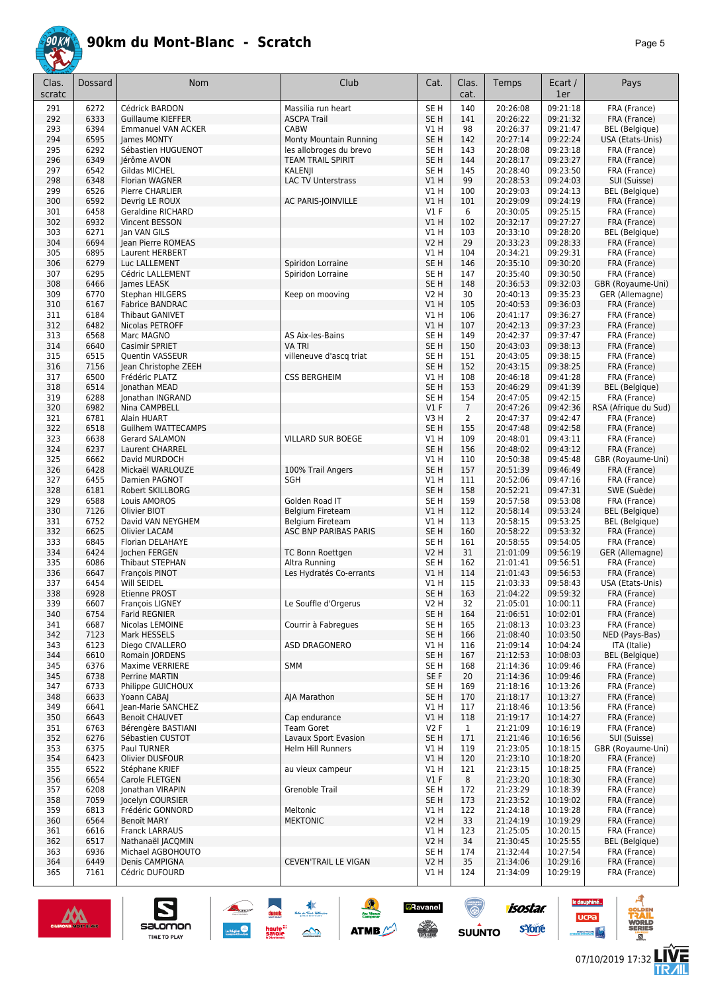

| Clas.      | Dossard      | Nom                                      | Club                                              | Cat.                               | Clas.          | Temps                | Ecart /              | Pays                                  |
|------------|--------------|------------------------------------------|---------------------------------------------------|------------------------------------|----------------|----------------------|----------------------|---------------------------------------|
| scratc     |              |                                          |                                                   |                                    | cat.           |                      | 1er                  |                                       |
| 291        | 6272         | Cédrick BARDON                           | Massilia run heart                                | SE <sub>H</sub>                    | 140            | 20:26:08             | 09:21:18             | FRA (France)                          |
| 292        | 6333         | <b>Guillaume KIEFFER</b>                 | <b>ASCPA Trail</b>                                | SE <sub>H</sub>                    | 141            | 20:26:22             | 09:21:32             | FRA (France)                          |
| 293        | 6394         | <b>Emmanuel VAN ACKER</b>                | CABW                                              | V1 H                               | 98             | 20:26:37             | 09:21:47             | <b>BEL</b> (Belgique)                 |
| 294<br>295 | 6595<br>6292 | James MONTY<br>Sébastien HUGUENOT        | Monty Mountain Running<br>les allobroges du brevo | SE <sub>H</sub><br>SE <sub>H</sub> | 142<br>143     | 20:27:14<br>20:28:08 | 09:22:24<br>09:23:18 | USA (Etats-Unis)<br>FRA (France)      |
| 296        | 6349         | Jérôme AVON                              | <b>TEAM TRAIL SPIRIT</b>                          | SE <sub>H</sub>                    | 144            | 20:28:17             | 09:23:27             | FRA (France)                          |
| 297        | 6542         | Gildas MICHEL                            | KALENJI                                           | SE <sub>H</sub>                    | 145            | 20:28:40             | 09:23:50             | FRA (France)                          |
| 298        | 6348         | <b>Florian WAGNER</b>                    | <b>LAC TV Unterstrass</b>                         | VIH                                | 99             | 20:28:53             | 09:24:03             | SUI (Suisse)                          |
| 299        | 6526         | Pierre CHARLIER                          |                                                   | V1 H                               | 100            | 20:29:03             | 09:24:13             | BEL (Belgique)                        |
| 300        | 6592         | Devrig LE ROUX                           | AC PARIS-JOINVILLE                                | VIH                                | 101            | 20:29:09             | 09:24:19             | FRA (France)                          |
| 301        | 6458         | <b>Geraldine RICHARD</b>                 |                                                   | $VI$ F                             | 6              | 20:30:05             | 09:25:15             | FRA (France)                          |
| 302        | 6932         | Vincent BESSON                           |                                                   | VIH                                | 102            | 20:32:17             | 09:27:27             | FRA (France)                          |
| 303        | 6271         | Ian VAN GILS                             |                                                   | V1H                                | 103            | 20:33:10<br>20:33:23 | 09:28:20             | <b>BEL</b> (Belgique)                 |
| 304<br>305 | 6694<br>6895 | Jean Pierre ROMEAS<br>Laurent HERBERT    |                                                   | <b>V2 H</b><br>V1 H                | 29<br>104      | 20:34:21             | 09:28:33<br>09:29:31 | FRA (France)<br>FRA (France)          |
| 306        | 6279         | Luc LALLEMENT                            | Spiridon Lorraine                                 | SE <sub>H</sub>                    | 146            | 20:35:10             | 09:30:20             | FRA (France)                          |
| 307        | 6295         | Cédric LALLEMENT                         | Spiridon Lorraine                                 | SE <sub>H</sub>                    | 147            | 20:35:40             | 09:30:50             | FRA (France)                          |
| 308        | 6466         | James LEASK                              |                                                   | SE <sub>H</sub>                    | 148            | 20:36:53             | 09:32:03             | GBR (Royaume-Uni)                     |
| 309        | 6770         | Stephan HILGERS                          | Keep on mooving                                   | <b>V2 H</b>                        | 30             | 20:40:13             | 09:35:23             | GER (Allemagne)                       |
| 310        | 6167         | <b>Fabrice BANDRAC</b>                   |                                                   | V1 H                               | 105            | 20:40:53             | 09:36:03             | FRA (France)                          |
| 311        | 6184         | <b>Thibaut GANIVET</b>                   |                                                   | V1 H                               | 106            | 20:41:17             | 09:36:27             | FRA (France)                          |
| 312        | 6482         | Nicolas PETROFF                          |                                                   | V1 H                               | 107            | 20:42:13             | 09:37:23             | FRA (France)                          |
| 313        | 6568         | Marc MAGNO                               | AS Aix-les-Bains                                  | SE <sub>H</sub>                    | 149            | 20:42:37             | 09:37:47<br>09:38:13 | FRA (France)                          |
| 314<br>315 | 6640<br>6515 | Casimir SPRIET<br><b>Ouentin VASSEUR</b> | <b>VA TRI</b><br>villeneuve d'ascq triat          | SE <sub>H</sub><br>SE <sub>H</sub> | 150<br>151     | 20:43:03<br>20:43:05 | 09:38:15             | FRA (France)<br>FRA (France)          |
| 316        | 7156         | Jean Christophe ZEEH                     |                                                   | SE <sub>H</sub>                    | 152            | 20:43:15             | 09:38:25             | FRA (France)                          |
| 317        | 6500         | Frédéric PLATZ                           | <b>CSS BERGHEIM</b>                               | V1 H                               | 108            | 20:46:18             | 09:41:28             | FRA (France)                          |
| 318        | 6514         | Jonathan MEAD                            |                                                   | SE <sub>H</sub>                    | 153            | 20:46:29             | 09:41:39             | <b>BEL</b> (Belgique)                 |
| 319        | 6288         | Jonathan INGRAND                         |                                                   | SE <sub>H</sub>                    | 154            | 20:47:05             | 09:42:15             | FRA (France)                          |
| 320        | 6982         | Nina CAMPBELL                            |                                                   | $VI$ F                             | $\overline{7}$ | 20:47:26             | 09:42:36             | RSA (Afrique du Sud)                  |
| 321        | 6781         | Alain HUART                              |                                                   | V3H                                | 2              | 20:47:37             | 09:42:47             | FRA (France)                          |
| 322        | 6518         | <b>Guilhem WATTECAMPS</b>                |                                                   | SE <sub>H</sub>                    | 155            | 20:47:48             | 09:42:58             | FRA (France)                          |
| 323        | 6638         | Gerard SALAMON                           | <b>VILLARD SUR BOEGE</b>                          | V1 H                               | 109            | 20:48:01             | 09:43:11             | FRA (France)                          |
| 324        | 6237         | Laurent CHARREL                          |                                                   | SE <sub>H</sub>                    | 156            | 20:48:02             | 09:43:12<br>09:45:48 | FRA (France)                          |
| 325<br>326 | 6662<br>6428 | David MURDOCH<br>Mickaël WARLOUZE        | 100% Trail Angers                                 | V1 H<br>SE <sub>H</sub>            | 110<br>157     | 20:50:38<br>20:51:39 | 09:46:49             | GBR (Royaume-Uni)<br>FRA (France)     |
| 327        | 6455         | Damien PAGNOT                            | <b>SGH</b>                                        | V1 H                               | 111            | 20:52:06             | 09:47:16             | FRA (France)                          |
| 328        | 6181         | Robert SKILLBORG                         |                                                   | SE <sub>H</sub>                    | 158            | 20:52:21             | 09:47:31             | SWE (Suède)                           |
| 329        | 6588         | Louis AMOROS                             | Golden Road IT                                    | SE H                               | 159            | 20:57:58             | 09:53:08             | FRA (France)                          |
| 330        | 7126         | Olivier BIOT                             | Belgium Fireteam                                  | V1 H                               | 112            | 20:58:14             | 09:53:24             | <b>BEL</b> (Belgique)                 |
| 331        | 6752         | David VAN NEYGHEM                        | Belgium Fireteam                                  | V1 H                               | 113            | 20:58:15             | 09:53:25             | BEL (Belgique)                        |
| 332        | 6625         | <b>Olivier LACAM</b>                     | ASC BNP PARIBAS PARIS                             | SE <sub>H</sub>                    | 160            | 20:58:22             | 09:53:32             | FRA (France)                          |
| 333        | 6845         | Florian DELAHAYE                         |                                                   | SE H                               | 161            | 20:58:55             | 09:54:05<br>09:56:19 | FRA (France)                          |
| 334<br>335 | 6424<br>6086 | Jochen FERGEN<br>Thibaut STEPHAN         | TC Bonn Roettgen<br>Altra Running                 | <b>V2 H</b><br>SE H                | 31<br>162      | 21:01:09<br>21:01:41 | 09:56:51             | GER (Allemagne)<br>FRA (France)       |
| 336        | 6647         | François PINOT                           | Les Hydratés Co-errants                           | V1 H                               | 114            | 21:01:43             | 09:56:53             | FRA (France)                          |
| 337        | 6454         | Will SEIDEL                              |                                                   | V1 H                               | 115            | 21:03:33             | 09:58:43             | USA (Etats-Unis)                      |
| 338        | 6928         | <b>Etienne PROST</b>                     |                                                   | SE <sub>H</sub>                    | 163            | 21:04:22             | 09:59:32             | FRA (France)                          |
| 339        | 6607         | François LIGNEY                          | Le Souffle d'Orgerus                              | V2 H                               | 32             | 21:05:01             | 10:00:11             | FRA (France)                          |
| 340        | 6754         | <b>Farid REGNIER</b>                     |                                                   | SE <sub>H</sub>                    | 164            | 21:06:51             | 10:02:01             | FRA (France)                          |
| 341        | 6687         | Nicolas LEMOINE                          | Courrir à Fabregues                               | SE <sub>H</sub>                    | 165            | 21:08:13             | 10:03:23             | FRA (France)                          |
| 342        | 7123         | Mark HESSELS                             | ASD DRAGONERO                                     | SE H                               | 166            | 21:08:40             | 10:03:50<br>10:04:24 | NED (Pays-Bas)                        |
| 343<br>344 | 6123<br>6610 | Diego CIVALLERO<br>Romain JORDENS        |                                                   | V1 H<br>SE <sub>H</sub>            | 116<br>167     | 21:09:14<br>21:12:53 | 10:08:03             | ITA (Italie)<br><b>BEL</b> (Belgique) |
| 345        | 6376         | Maxime VERRIERE                          | <b>SMM</b>                                        | SE H                               | 168            | 21:14:36             | 10:09:46             | FRA (France)                          |
| 345        | 6738         | Perrine MARTIN                           |                                                   | SE F                               | 20             | 21:14:36             | 10:09:46             | FRA (France)                          |
| 347        | 6733         | Philippe GUICHOUX                        |                                                   | SE H                               | 169            | 21:18:16             | 10:13:26             | FRA (France)                          |
| 348        | 6633         | Yoann CABAJ                              | AJA Marathon                                      | SE H                               | 170            | 21:18:17             | 10:13:27             | FRA (France)                          |
| 349        | 6641         | Jean-Marie SANCHEZ                       |                                                   | V1 H                               | 117            | 21:18:46             | 10:13:56             | FRA (France)                          |
| 350        | 6643         | <b>Benoit CHAUVET</b>                    | Cap endurance                                     | V1H                                | 118            | 21:19:17             | 10:14:27             | FRA (France)                          |
| 351        | 6763         | Bérengère BASTIANI                       | <b>Team Goret</b>                                 | V2F                                | $\mathbf{1}$   | 21:21:09             | 10:16:19             | FRA (France)                          |
| 352        | 6276         | Sébastien CUSTOT<br>Paul TURNER          | Lavaux Sport Evasion<br><b>Helm Hill Runners</b>  | SE <sub>H</sub>                    | 171            | 21:21:46             | 10:16:56             | SUI (Suisse)                          |
| 353<br>354 | 6375<br>6423 | Olivier DUSFOUR                          |                                                   | V1 H<br>V1H                        | 119<br>120     | 21:23:05<br>21:23:10 | 10:18:15<br>10:18:20 | GBR (Royaume-Uni)<br>FRA (France)     |
| 355        | 6522         | Stéphane KRIEF                           | au vieux campeur                                  | V1 H                               | 121            | 21:23:15             | 10:18:25             | FRA (France)                          |
| 356        | 6654         | Carole FLETGEN                           |                                                   | V1F                                | 8              | 21:23:20             | 10:18:30             | FRA (France)                          |
| 357        | 6208         | Jonathan VIRAPIN                         | Grenoble Trail                                    | SE <sub>H</sub>                    | 172            | 21:23:29             | 10:18:39             | FRA (France)                          |
| 358        | 7059         | Jocelyn COURSIER                         |                                                   | SE H                               | 173            | 21:23:52             | 10:19:02             | FRA (France)                          |
| 359        | 6813         | Frédéric GONNORD                         | Meltonic                                          | V1 H                               | 122            | 21:24:18             | 10:19:28             | FRA (France)                          |
| 360        | 6564         | Benoît MARY                              | <b>MEKTONIC</b>                                   | <b>V2 H</b>                        | 33             | 21:24:19             | 10:19:29             | FRA (France)                          |
| 361        | 6616         | <b>Franck LARRAUS</b>                    |                                                   | V1 H                               | 123            | 21:25:05             | 10:20:15             | FRA (France)                          |
| 362<br>363 | 6517<br>6936 | Nathanaël JACQMIN<br>Michael AGBOHOUTO   |                                                   | <b>V2 H</b><br>SE <sub>H</sub>     | 34<br>174      | 21:30:45<br>21:32:44 | 10:25:55<br>10:27:54 | <b>BEL</b> (Belgique)<br>FRA (France) |
| 364        | 6449         | Denis CAMPIGNA                           | CEVEN'TRAIL LE VIGAN                              | <b>V2 H</b>                        | 35             | 21:34:06             | 10:29:16             | FRA (France)                          |
| 365        | 7161         | Cédric DUFOURD                           |                                                   | V1 H                               | 124            | 21:34:09             | 10:29:19             | FRA (France)                          |





le dauphiné...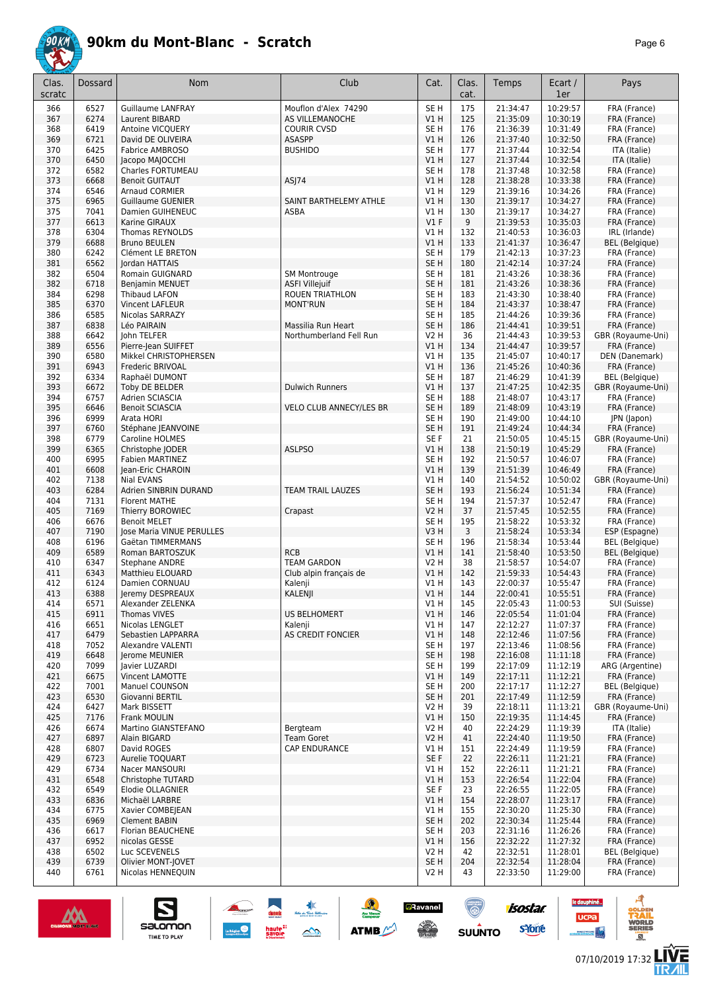

|--|--|

| Clas.<br>scratc | Dossard      | <b>Nom</b>                                     | Club                                | Cat.                    | Clas.<br>cat. | Temps                | Ecart /<br>1er       | Pays                                   |
|-----------------|--------------|------------------------------------------------|-------------------------------------|-------------------------|---------------|----------------------|----------------------|----------------------------------------|
| 366             | 6527         | <b>Guillaume LANFRAY</b>                       | Mouflon d'Alex 74290                | SE <sub>H</sub>         | 175           | 21:34:47             | 10:29:57             | FRA (France)                           |
| 367             | 6274         | Laurent BIBARD                                 | AS VILLEMANOCHE                     | V1H                     | 125           | 21:35:09             | 10:30:19             | FRA (France)                           |
| 368             | 6419         | Antoine VICQUERY                               | <b>COURIR CVSD</b>                  | SE <sub>H</sub>         | 176           | 21:36:39             | 10:31:49             | FRA (France)                           |
| 369             | 6721         | David DE OLIVEIRA                              | <b>ASASPP</b>                       | V1H                     | 126           | 21:37:40             | 10:32:50             | FRA (France)                           |
| 370<br>370      | 6425<br>6450 | Fabrice AMBROSO<br>Jacopo MAJOCCHI             | <b>BUSHIDO</b>                      | SE <sub>H</sub><br>V1H  | 177<br>127    | 21:37:44<br>21:37:44 | 10:32:54<br>10:32:54 | ITA (Italie)<br>ITA (Italie)           |
| 372             | 6582         | Charles FORTUMEAU                              |                                     | SE <sub>H</sub>         | 178           | 21:37:48             | 10:32:58             | FRA (France)                           |
| 373             | 6668         | <b>Benoit GUITAUT</b>                          | ASJ74                               | V1H                     | 128           | 21:38:28             | 10:33:38             | FRA (France)                           |
| 374             | 6546         | <b>Arnaud CORMIER</b>                          |                                     | V1 H                    | 129           | 21:39:16             | 10:34:26             | FRA (France)                           |
| 375             | 6965         | <b>Guillaume GUENIER</b>                       | SAINT BARTHELEMY ATHLE              | V1H                     | 130           | 21:39:17             | 10:34:27             | FRA (France)                           |
| 375             | 7041         | <b>Damien GUIHENEUC</b>                        | <b>ASBA</b>                         | V1 H                    | 130           | 21:39:17             | 10:34:27             | FRA (France)                           |
| 377             | 6613         | Karine GIRAUX                                  |                                     | $VI$ F                  | 9             | 21:39:53             | 10:35:03             | FRA (France)                           |
| 378             | 6304         | Thomas REYNOLDS                                |                                     | V1H                     | 132           | 21:40:53             | 10:36:03             | IRL (Irlande)                          |
| 379<br>380      | 6688<br>6242 | <b>Bruno BEULEN</b><br>Clément LE BRETON       |                                     | V1H<br>SE <sub>H</sub>  | 133<br>179    | 21:41:37<br>21:42:13 | 10:36:47<br>10:37:23 | <b>BEL</b> (Belgique)<br>FRA (France)  |
| 381             | 6562         | Jordan HATTAIS                                 |                                     | SE <sub>H</sub>         | 180           | 21:42:14             | 10:37:24             | FRA (France)                           |
| 382             | 6504         | Romain GUIGNARD                                | <b>SM Montrouge</b>                 | SE <sub>H</sub>         | 181           | 21:43:26             | 10:38:36             | FRA (France)                           |
| 382             | 6718         | Benjamin MENUET                                | <b>ASFI Villejuif</b>               | SE <sub>H</sub>         | 181           | 21:43:26             | 10:38:36             | FRA (France)                           |
| 384             | 6298         | <b>Thibaud LAFON</b>                           | ROUEN TRIATHLON                     | SE <sub>H</sub>         | 183           | 21:43:30             | 10:38:40             | FRA (France)                           |
| 385             | 6370         | <b>Vincent LAFLEUR</b>                         | <b>MONT'RUN</b>                     | SE <sub>H</sub>         | 184           | 21:43:37             | 10:38:47             | FRA (France)                           |
| 386             | 6585         | Nicolas SARRAZY                                |                                     | SE <sub>H</sub>         | 185           | 21:44:26             | 10:39:36             | FRA (France)                           |
| 387             | 6838         | Léo PAIRAIN                                    | Massilia Run Heart                  | SE <sub>H</sub>         | 186           | 21:44:41             | 10:39:51             | FRA (France)                           |
| 388             | 6642         | John TELFER                                    | Northumberland Fell Run             | <b>V2 H</b>             | 36            | 21:44:43             | 10:39:53             | GBR (Royaume-Uni)                      |
| 389<br>390      | 6556<br>6580 | Pierre-Jean SUIFFET<br>Mikkel CHRISTOPHERSEN   |                                     | V1 H<br>V1H             | 134<br>135    | 21:44:47<br>21:45:07 | 10:39:57<br>10:40:17 | FRA (France)<br>DEN (Danemark)         |
| 391             | 6943         | Frederic BRIVOAL                               |                                     | V1H                     | 136           | 21:45:26             | 10:40:36             | FRA (France)                           |
| 392             | 6334         | Raphaël DUMONT                                 |                                     | SE <sub>H</sub>         | 187           | 21:46:29             | 10:41:39             | <b>BEL</b> (Belgique)                  |
| 393             | 6672         | Toby DE BELDER                                 | <b>Dulwich Runners</b>              | V1H                     | 137           | 21:47:25             | 10:42:35             | GBR (Royaume-Uni)                      |
| 394             | 6757         | Adrien SCIASCIA                                |                                     | SE <sub>H</sub>         | 188           | 21:48:07             | 10:43:17             | FRA (France)                           |
| 395             | 6646         | <b>Benoit SCIASCIA</b>                         | <b>VELO CLUB ANNECY/LES BR</b>      | SE <sub>H</sub>         | 189           | 21:48:09             | 10:43:19             | FRA (France)                           |
| 396             | 6999         | Arata HORI                                     |                                     | SE <sub>H</sub>         | 190           | 21:49:00             | 10:44:10             | JPN (Japon)                            |
| 397             | 6760         | Stéphane JEANVOINE                             |                                     | SE <sub>H</sub>         | 191           | 21:49:24             | 10:44:34             | FRA (France)                           |
| 398<br>399      | 6779<br>6365 | Caroline HOLMES                                | <b>ASLPSO</b>                       | SE <sub>F</sub><br>V1H  | 21<br>138     | 21:50:05<br>21:50:19 | 10:45:15<br>10:45:29 | GBR (Royaume-Uni)                      |
| 400             | 6995         | Christophe JODER<br><b>Fabien MARTINEZ</b>     |                                     | SE H                    | 192           | 21:50:57             | 10:46:07             | FRA (France)<br>FRA (France)           |
| 401             | 6608         | Jean-Eric CHAROIN                              |                                     | VIH                     | 139           | 21:51:39             | 10:46:49             | FRA (France)                           |
| 402             | 7138         | Nial EVANS                                     |                                     | V1H                     | 140           | 21:54:52             | 10:50:02             | GBR (Royaume-Uni)                      |
| 403             | 6284         | Adrien SINBRIN DURAND                          | <b>TEAM TRAIL LAUZES</b>            | SE <sub>H</sub>         | 193           | 21:56:24             | 10:51:34             | FRA (France)                           |
| 404             | 7131         | <b>Florent MATHE</b>                           |                                     | SE <sub>H</sub>         | 194           | 21:57:37             | 10:52:47             | FRA (France)                           |
| 405             | 7169         | Thierry BOROWIEC                               | Crapast                             | <b>V2 H</b>             | 37            | 21:57:45             | 10:52:55             | FRA (France)                           |
| 406             | 6676         | <b>Benoit MELET</b>                            |                                     | SE <sub>H</sub>         | 195           | 21:58:22             | 10:53:32             | FRA (France)                           |
| 407             | 7190<br>6196 | lose Maria VINUE PERULLES<br>Gaëtan TIMMERMANS |                                     | V3H<br>SE <sub>H</sub>  | 3<br>196      | 21:58:24<br>21:58:34 | 10:53:34<br>10:53:44 | ESP (Espagne)<br><b>BEL</b> (Belgique) |
| 408<br>409      | 6589         | Roman BARTOSZUK                                | <b>RCB</b>                          | V1H                     | 141           | 21:58:40             | 10:53:50             | <b>BEL</b> (Belgique)                  |
| 410             | 6347         | <b>Stephane ANDRE</b>                          | <b>TEAM GARDON</b>                  | <b>V2 H</b>             | 38            | 21:58:57             | 10:54:07             | FRA (France)                           |
| 411             | 6343         | Matthieu ELOUARD                               | Club alpin français de              | VIH                     | 142           | 21:59:33             | 10:54:43             | FRA (France)                           |
| 412             | 6124         | Damien CORNUAU                                 | Kalenji                             | V1 H                    | 143           | 22:00:37             | 10:55:47             | FRA (France)                           |
| 413             | 6388         | Jeremy DESPREAUX                               | KALENJI                             | V1 H                    | 144           | 22:00:41             | 10:55:51             | FRA (France)                           |
| 414             | 6571         | Alexander ZELENKA                              |                                     | V1 H                    | 145           | 22:05:43             | 11:00:53             | SUI (Suisse)                           |
| 415             | 6911         | Thomas VIVES                                   | <b>US BELHOMERT</b>                 | V1H                     | 146           | 22:05:54             | 11:01:04             | FRA (France)                           |
| 416<br>417      | 6651<br>6479 | Nicolas LENGLET<br>Sebastien LAPPARRA          | Kalenji<br><b>AS CREDIT FONCIER</b> | V1H<br>V1H              | 147<br>148    | 22:12:27<br>22:12:46 | 11:07:37<br>11:07:56 | FRA (France)<br>FRA (France)           |
| 418             | 7052         | Alexandre VALENTI                              |                                     | SE H                    | 197           | 22:13:46             | 11:08:56             | FRA (France)                           |
| 419             | 6648         | Jerome MEUNIER                                 |                                     | SE <sub>H</sub>         | 198           | 22:16:08             | 11:11:18             | FRA (France)                           |
| 420             | 7099         | Javier LUZARDI                                 |                                     | SE <sub>H</sub>         | 199           | 22:17:09             | 11:12:19             | ARG (Argentine)                        |
| 421             | 6675         | Vincent LAMOTTE                                |                                     | V1H                     | 149           | 22:17:11             | 11:12:21             | FRA (France)                           |
| 422             | 7001         | <b>Manuel COUNSON</b>                          |                                     | SE <sub>H</sub>         | 200           | 22:17:17             | 11:12:27             | <b>BEL</b> (Belgique)                  |
| 423             | 6530         | Giovanni BERTIL                                |                                     | SE <sub>H</sub>         | 201           | 22:17:49             | 11:12:59             | FRA (France)                           |
| 424             | 6427         | Mark BISSETT                                   |                                     | V2 H                    | 39            | 22:18:11             | 11:13:21             | GBR (Royaume-Uni)                      |
| 425<br>426      | 7176<br>6674 | Frank MOULIN<br>Martino GIANSTEFANO            | Bergteam                            | VIH<br>V2 H             | 150<br>40     | 22:19:35<br>22:24:29 | 11:14:45<br>11:19:39 | FRA (France)<br>ITA (Italie)           |
| 427             | 6897         | Alain BIGARD                                   | <b>Team Goret</b>                   | <b>V2 H</b>             | 41            | 22:24:40             | 11:19:50             | FRA (France)                           |
| 428             | 6807         | David ROGES                                    | <b>CAP ENDURANCE</b>                | V1 H                    | 151           | 22:24:49             | 11:19:59             | FRA (France)                           |
| 429             | 6723         | Aurelie TOQUART                                |                                     | SE F                    | 22            | 22:26:11             | 11:21:21             | FRA (France)                           |
| 429             | 6734         | Nacer MANSOURI                                 |                                     | V1H                     | 152           | 22:26:11             | 11:21:21             | FRA (France)                           |
| 431             | 6548         | Christophe TUTARD                              |                                     | V1H                     | 153           | 22:26:54             | 11:22:04             | FRA (France)                           |
| 432             | 6549         | Elodie OLLAGNIER                               |                                     | SE F                    | 23            | 22:26:55             | 11:22:05             | FRA (France)                           |
| 433             | 6836         | Michaël LARBRE                                 |                                     | V1H                     | 154           | 22:28:07             | 11:23:17             | FRA (France)                           |
| 434<br>435      | 6775<br>6969 | Xavier COMBEJEAN<br><b>Clement BABIN</b>       |                                     | V1 H<br>SE <sub>H</sub> | 155<br>202    | 22:30:20<br>22:30:34 | 11:25:30<br>11:25:44 | FRA (France)<br>FRA (France)           |
| 436             | 6617         | Florian BEAUCHENE                              |                                     | SE <sub>H</sub>         | 203           | 22:31:16             | 11:26:26             | FRA (France)                           |
| 437             | 6952         | nicolas GESSE                                  |                                     | VIH                     | 156           | 22:32:22             | 11:27:32             | FRA (France)                           |
| 438             | 6502         | Luc SCEVENELS                                  |                                     | V2 H                    | 42            | 22:32:51             | 11:28:01             | <b>BEL</b> (Belgique)                  |
| 439             | 6739         | Olivier MONT-JOVET                             |                                     | SE H                    | 204           | 22:32:54             | 11:28:04             | FRA (France)                           |
| 440             | 6761         | Nicolas HENNEQUIN                              |                                     | V2 H                    | 43            | 22:33:50             | 11:29:00             | FRA (France)                           |
|                 |              |                                                |                                     |                         |               |                      |                      |                                        |



 $\sum_{\text{SALOMOM}}$ 

**a**Ravanel

 $\frac{1}{\sqrt{2}}$ 

**SUUNTO** 

 $\frac{1}{2}$ 

**ATMB** 

ø

**LIVE<br>TR***A***IL** 

**UCPa** 

**isostar** 

svone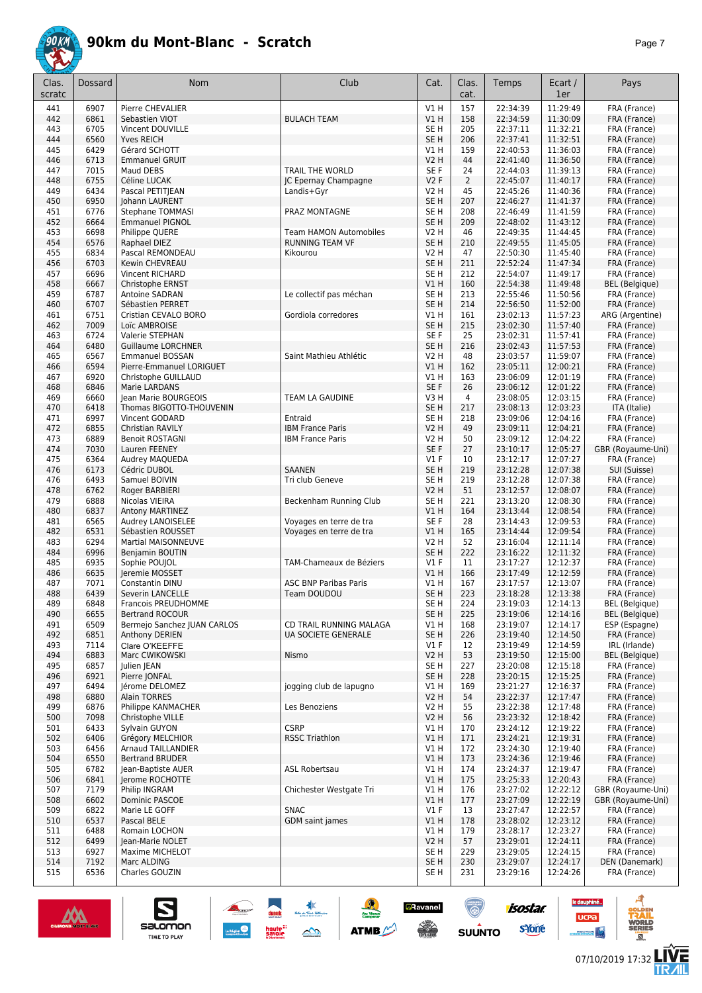

| Clas.<br>scratc | <b>Dossard</b> | Nom                                      | Club                          | Cat.                               | Clas.<br>cat.  | Temps                | Ecart /<br>1er       | Pays                                           |
|-----------------|----------------|------------------------------------------|-------------------------------|------------------------------------|----------------|----------------------|----------------------|------------------------------------------------|
| 441             | 6907           | Pierre CHEVALIER                         |                               | V1 H                               | 157            | 22:34:39             | 11:29:49             | FRA (France)                                   |
| 442             | 6861           | Sebastien VIOT                           | <b>BULACH TEAM</b>            | V1H                                | 158            | 22:34:59             | 11:30:09             | FRA (France)                                   |
| 443             | 6705           | Vincent DOUVILLE                         |                               | SE <sub>H</sub>                    | 205            | 22:37:11             | 11:32:21             | FRA (France)                                   |
| 444<br>445      | 6560<br>6429   | <b>Yves REICH</b><br>Gérard SCHOTT       |                               | SE <sub>H</sub><br>V1 H            | 206<br>159     | 22:37:41<br>22:40:53 | 11:32:51<br>11:36:03 | FRA (France)                                   |
| 446             | 6713           | <b>Emmanuel GRUIT</b>                    |                               | V2 H                               | 44             | 22:41:40             | 11:36:50             | FRA (France)<br>FRA (France)                   |
| 447             | 7015           | Maud DEBS                                | TRAIL THE WORLD               | SE F                               | 24             | 22:44:03             | 11:39:13             | FRA (France)                                   |
| 448             | 6755           | Céline LUCAK                             | JC Epernay Champagne          | <b>V2F</b>                         | 2              | 22:45:07             | 11:40:17             | FRA (France)                                   |
| 449             | 6434           | Pascal PETITJEAN                         | Landis+Gyr                    | V2 H                               | 45             | 22:45:26             | 11:40:36             | FRA (France)                                   |
| 450             | 6950           | Johann LAURENT                           |                               | SE <sub>H</sub>                    | 207            | 22:46:27             | 11:41:37             | FRA (France)                                   |
| 451             | 6776           | <b>Stephane TOMMASI</b>                  | PRAZ MONTAGNE                 | SE <sub>H</sub>                    | 208            | 22:46:49             | 11:41:59             | FRA (France)                                   |
| 452<br>453      | 6664<br>6698   | <b>Emmanuel PIGNOL</b><br>Philippe QUERE | <b>Team HAMON Automobiles</b> | SE <sub>H</sub><br>V2 H            | 209<br>46      | 22:48:02<br>22:49:35 | 11:43:12<br>11:44:45 | FRA (France)<br>FRA (France)                   |
| 454             | 6576           | Raphael DIEZ                             | <b>RUNNING TEAM VF</b>        | SE <sub>H</sub>                    | 210            | 22:49:55             | 11:45:05             | FRA (France)                                   |
| 455             | 6834           | Pascal REMONDEAU                         | Kikourou                      | V <sub>2</sub> H                   | 47             | 22:50:30             | 11:45:40             | FRA (France)                                   |
| 456             | 6703           | Kewin CHEVREAU                           |                               | SE <sub>H</sub>                    | 211            | 22:52:24             | 11:47:34             | FRA (France)                                   |
| 457             | 6696           | Vincent RICHARD                          |                               | SE <sub>H</sub>                    | 212            | 22:54:07             | 11:49:17             | FRA (France)                                   |
| 458             | 6667           | Christophe ERNST                         |                               | V1 H                               | 160            | 22:54:38             | 11:49:48             | <b>BEL</b> (Belgique)                          |
| 459             | 6787           | Antoine SADRAN                           | Le collectif pas méchan       | SE <sub>H</sub><br>SE <sub>H</sub> | 213<br>214     | 22:55:46             | 11:50:56             | FRA (France)                                   |
| 460<br>461      | 6707<br>6751   | Sébastien PERRET<br>Cristian CEVALO BORO | Gordiola corredores           | V1 H                               | 161            | 22:56:50<br>23:02:13 | 11:52:00<br>11:57:23 | FRA (France)<br>ARG (Argentine)                |
| 462             | 7009           | Loïc AMBROISE                            |                               | SE <sub>H</sub>                    | 215            | 23:02:30             | 11:57:40             | FRA (France)                                   |
| 463             | 6724           | Valerie STEPHAN                          |                               | SE <sub>F</sub>                    | 25             | 23:02:31             | 11:57:41             | FRA (France)                                   |
| 464             | 6480           | <b>Guillaume LORCHNER</b>                |                               | SE <sub>H</sub>                    | 216            | 23:02:43             | 11:57:53             | FRA (France)                                   |
| 465             | 6567           | <b>Emmanuel BOSSAN</b>                   | Saint Mathieu Athlétic        | V2 H                               | 48             | 23:03:57             | 11:59:07             | FRA (France)                                   |
| 466             | 6594           | Pierre-Emmanuel LORIGUET                 |                               | V1H                                | 162            | 23:05:11             | 12:00:21             | FRA (France)                                   |
| 467<br>468      | 6920<br>6846   | Christophe GUILLAUD<br>Marie LARDANS     |                               | V1 H<br>SE F                       | 163<br>26      | 23:06:09<br>23:06:12 | 12:01:19<br>12:01:22 | FRA (France)<br>FRA (France)                   |
| 469             | 6660           | Jean Marie BOURGEOIS                     | TEAM LA GAUDINE               | V3 H                               | $\overline{4}$ | 23:08:05             | 12:03:15             | FRA (France)                                   |
| 470             | 6418           | Thomas BIGOTTO-THOUVENIN                 |                               | SE <sub>H</sub>                    | 217            | 23:08:13             | 12:03:23             | ITA (Italie)                                   |
| 471             | 6997           | Vincent GODARD                           | Entraid                       | SE <sub>H</sub>                    | 218            | 23:09:06             | 12:04:16             | FRA (France)                                   |
| 472             | 6855           | Christian RAVILY                         | <b>IBM France Paris</b>       | <b>V2 H</b>                        | 49             | 23:09:11             | 12:04:21             | FRA (France)                                   |
| 473             | 6889           | <b>Benoit ROSTAGNI</b>                   | <b>IBM France Paris</b>       | V2 H                               | 50             | 23:09:12             | 12:04:22             | FRA (France)                                   |
| 474             | 7030           | Lauren FEENEY                            |                               | SE F                               | 27             | 23:10:17             | 12:05:27             | GBR (Royaume-Uni)                              |
| 475<br>476      | 6364<br>6173   | Audrey MAQUEDA<br>Cédric DUBOL           | <b>SAANEN</b>                 | $VI$ F<br>SE <sub>H</sub>          | 10<br>219      | 23:12:17<br>23:12:28 | 12:07:27<br>12:07:38 | FRA (France)<br>SUI (Suisse)                   |
| 476             | 6493           | Samuel BOIVIN                            | Tri club Geneve               | SE <sub>H</sub>                    | 219            | 23:12:28             | 12:07:38             | FRA (France)                                   |
| 478             | 6762           | Roger BARBIERI                           |                               | <b>V2 H</b>                        | 51             | 23:12:57             | 12:08:07             | FRA (France)                                   |
| 479             | 6888           | Nicolas VIEIRA                           | Beckenham Running Club        | SE <sub>H</sub>                    | 221            | 23:13:20             | 12:08:30             | FRA (France)                                   |
| 480             | 6837           | Antony MARTINEZ                          |                               | V1 H                               | 164            | 23:13:44             | 12:08:54             | FRA (France)                                   |
| 481             | 6565           | Audrey LANOISELEE                        | Voyages en terre de tra       | SE <sub>F</sub>                    | 28             | 23:14:43             | 12:09:53             | FRA (France)                                   |
| 482<br>483      | 6531<br>6294   | Sébastien ROUSSET<br>Martial MAISONNEUVE | Voyages en terre de tra       | VIH<br>V2 H                        | 165<br>52      | 23:14:44<br>23:16:04 | 12:09:54<br>12:11:14 | FRA (France)<br>FRA (France)                   |
| 484             | 6996           | Benjamin BOUTIN                          |                               | SE <sub>H</sub>                    | 222            | 23:16:22             | 12:11:32             | FRA (France)                                   |
| 485             | 6935           | Sophie POUJOL                            | TAM-Chameaux de Béziers       | <b>V1 F</b>                        | 11             | 23:17:27             | 12:12:37             | FRA (France)                                   |
| 486             | 6635           | Jeremie MOSSET                           |                               | V1H                                | 166            | 23:17:49             | 12:12:59             | FRA (France)                                   |
| 487             | 7071           | Constantin DINU                          | <b>ASC BNP Paribas Paris</b>  | V1 H                               | 167            | 23:17:57             | 12:13:07             | FRA (France)                                   |
| 488             | 6439           | Severin LANCELLE                         | Team DOUDOU                   | SE <sub>H</sub>                    | 223            | 23:18:28             | 12:13:38             | FRA (France)                                   |
| 489<br>490      | 6848<br>6655   | Francois PREUDHOMME<br>Bertrand ROCOUR   |                               | SE H<br>SE <sub>H</sub>            | 224<br>225     | 23:19:03<br>23:19:06 | 12:14:13<br>12:14:16 | <b>BEL</b> (Belgique)<br><b>BEL</b> (Belgique) |
| 491             | 6509           | Bermejo Sanchez JUAN CARLOS              | CD TRAIL RUNNING MALAGA       | V1 H                               | 168            | 23:19:07             | 12:14:17             | ESP (Espagne)                                  |
| 492             | 6851           | Anthony DERIEN                           | <b>UA SOCIETE GENERALE</b>    | SE H                               | 226            | 23:19:40             | 12:14:50             | FRA (France)                                   |
| 493             | 7114           | Clare O'KEEFFE                           |                               | $VI$ F                             | 12             | 23:19:49             | 12:14:59             | IRL (Irlande)                                  |
| 494             | 6883           | Marc CWIKOWSKI                           | Nismo                         | V2 H                               | 53             | 23:19:50             | 12:15:00             | <b>BEL</b> (Belgique)                          |
| 495             | 6857           | Julien JEAN                              |                               | SE H                               | 227            | 23:20:08             | 12:15:18             | FRA (France)                                   |
| 496             | 6921           | Pierre JONFAL                            |                               | SE H                               | 228            | 23:20:15             | 12:15:25             | FRA (France)                                   |
| 497<br>498      | 6494<br>6880   | Jérome DELOMEZ<br><b>Alain TORRES</b>    | jogging club de lapugno       | V1 H<br>V2 H                       | 169<br>54      | 23:21:27<br>23:22:37 | 12:16:37<br>12:17:47 | FRA (France)<br>FRA (France)                   |
| 499             | 6876           | Philippe KANMACHER                       | Les Benoziens                 | V2 H                               | 55             | 23:22:38             | 12:17:48             | FRA (France)                                   |
| 500             | 7098           | Christophe VILLE                         |                               | <b>V2 H</b>                        | 56             | 23:23:32             | 12:18:42             | FRA (France)                                   |
| 501             | 6433           | Sylvain GUYON                            | <b>CSRP</b>                   | V1 H                               | 170            | 23:24:12             | 12:19:22             | FRA (France)                                   |
| 502             | 6406           | Grégory MELCHIOR                         | <b>RSSC Triathlon</b>         | V1 H                               | 171            | 23:24:21             | 12:19:31             | FRA (France)                                   |
| 503             | 6456           | Arnaud TAILLANDIER                       |                               | V1 H                               | 172            | 23:24:30             | 12:19:40             | FRA (France)                                   |
| 504             | 6550           | <b>Bertrand BRUDER</b>                   |                               | V1 H                               | 173            | 23:24:36             | 12:19:46             | FRA (France)                                   |
| 505<br>506      | 6782<br>6841   | Jean-Baptiste AUER<br>Jerome ROCHOTTE    | ASL Robertsau                 | V1H<br>V1 H                        | 174<br>175     | 23:24:37<br>23:25:33 | 12:19:47<br>12:20:43 | FRA (France)<br>FRA (France)                   |
| 507             | 7179           | Philip INGRAM                            | Chichester Westgate Tri       | V1 H                               | 176            | 23:27:02             | 12:22:12             | GBR (Royaume-Uni)                              |
| 508             | 6602           | Dominic PASCOE                           |                               | V1 H                               | 177            | 23:27:09             | 12:22:19             | GBR (Royaume-Uni)                              |
| 509             | 6822           | Marie LE GOFF                            | <b>SNAC</b>                   | $VI$ F                             | 13             | 23:27:47             | 12:22:57             | FRA (France)                                   |
| 510             | 6537           | Pascal BELE                              | GDM saint james               | V1 H                               | 178            | 23:28:02             | 12:23:12             | FRA (France)                                   |
| 511             | 6488           | Romain LOCHON                            |                               | V1 H                               | 179            | 23:28:17             | 12:23:27             | FRA (France)                                   |
| 512             | 6499           | Jean-Marie NOLET                         |                               | V2 H                               | 57             | 23:29:01             | 12:24:11             | FRA (France)                                   |
| 513<br>514      | 6927<br>7192   | Maxime MICHELOT<br>Marc ALDING           |                               | SE <sub>H</sub><br>SE H            | 229<br>230     | 23:29:05<br>23:29:07 | 12:24:15<br>12:24:17 | FRA (France)<br>DEN (Danemark)                 |
| 515             | 6536           | Charles GOUZIN                           |                               | SE H                               | 231            | 23:29:16             | 12:24:26             | FRA (France)                                   |
|                 |                |                                          |                               |                                    |                |                      |                      |                                                |

惠

 $\rightarrow$ 

 $\frac{1}{2}$ 

ATMB

**a**Ravanel



S

Salomon



<u>ිල</u>

isostar.

**s**Yone



**LIVE<br>TR***A***IL** 07/10/2019 17:32

le dauphiné...

**UCPa** 

A